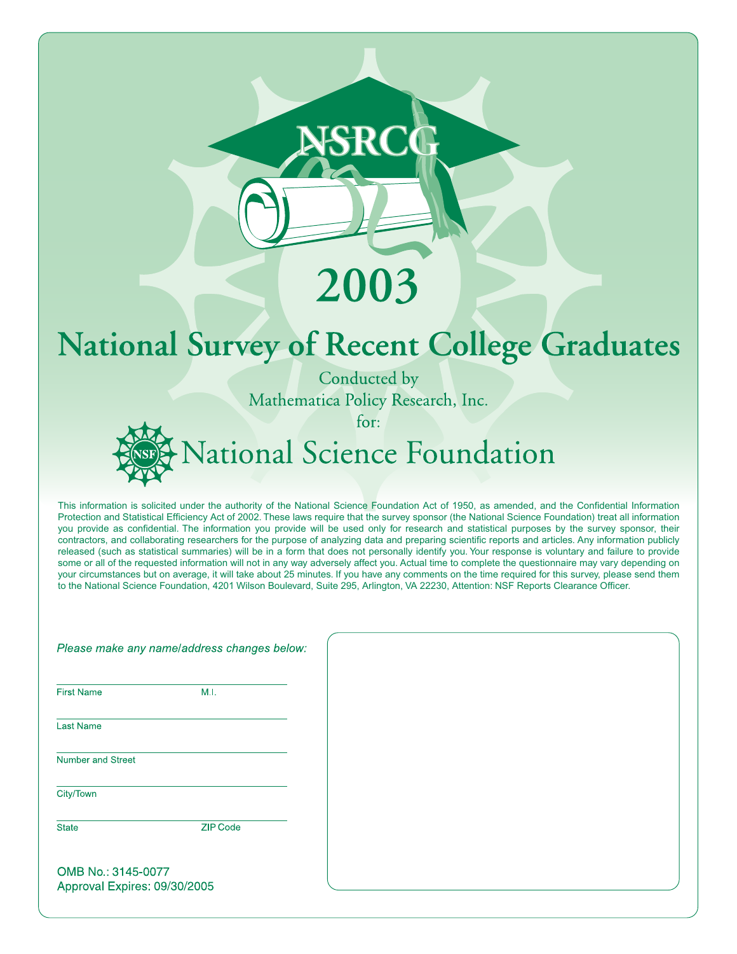# 2003

# **National Survey of Recent College Graduates**

Conducted by Mathematica Policy Research, Inc.

for:

# Vational Science Foundation

This information is solicited under the authority of the National Science Foundation Act of 1950, as amended, and the Confidential Information Protection and Statistical Efficiency Act of 2002. These laws require that the survey sponsor (the National Science Foundation) treat all information you provide as confidential. The information you provide will be used only for research and statistical purposes by the survey sponsor, their contractors, and collaborating researchers for the purpose of analyzing data and preparing scientific reports and articles. Any information publicly released (such as statistical summaries) will be in a form that does not personally identify you. Your response is voluntary and failure to provide some or all of the requested information will not in any way adversely affect you. Actual time to complete the questionnaire may vary depending on your circumstances but on average, it will take about 25 minutes. If you have any comments on the time required for this survey, please send them to the National Science Foundation, 4201 Wilson Boulevard, Suite 295, Arlington, VA 22230, Attention: NSF Reports Clearance Officer.

|                                                    | Please make any name/address changes below: |
|----------------------------------------------------|---------------------------------------------|
| <b>First Name</b>                                  | M.I.                                        |
| <b>Last Name</b>                                   |                                             |
| Number and Street                                  |                                             |
| City/Town                                          |                                             |
| <b>State</b>                                       | <b>ZIP Code</b>                             |
| OMB No.: 3145-0077<br>Approval Expires: 09/30/2005 |                                             |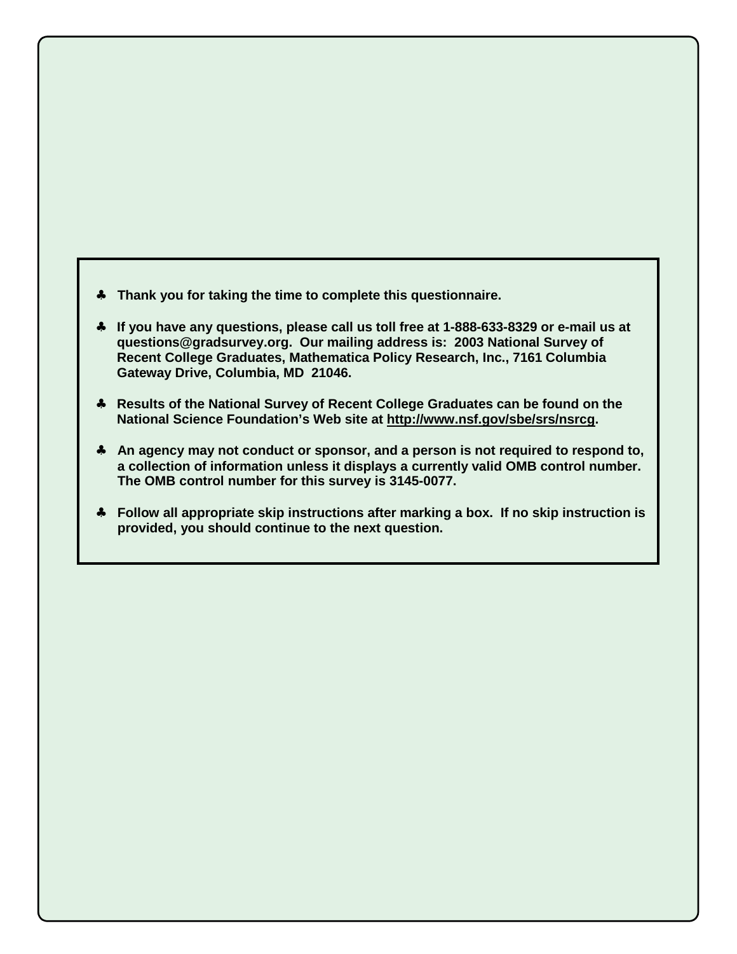- ♣ **Thank you for taking the time to complete this questionnaire.**
- ♣ **If you have any questions, please call us toll free at 1-888-633-8329 or e-mail us at questions@gradsurvey.org. Our mailing address is: 2003 National Survey of Recent College Graduates, Mathematica Policy Research, Inc., 7161 Columbia Gateway Drive, Columbia, MD 21046.**
- ♣ **Results of the National Survey of Recent College Graduates can be found on the National Science Foundation's Web site at http://www.nsf.gov/sbe/srs/nsrcg.**
- ♣ **An agency may not conduct or sponsor, and a person is not required to respond to, a collection of information unless it displays a currently valid OMB control number. The OMB control number for this survey is 3145-0077.**
- ♣ **Follow all appropriate skip instructions after marking a box. If no skip instruction is provided, you should continue to the next question.**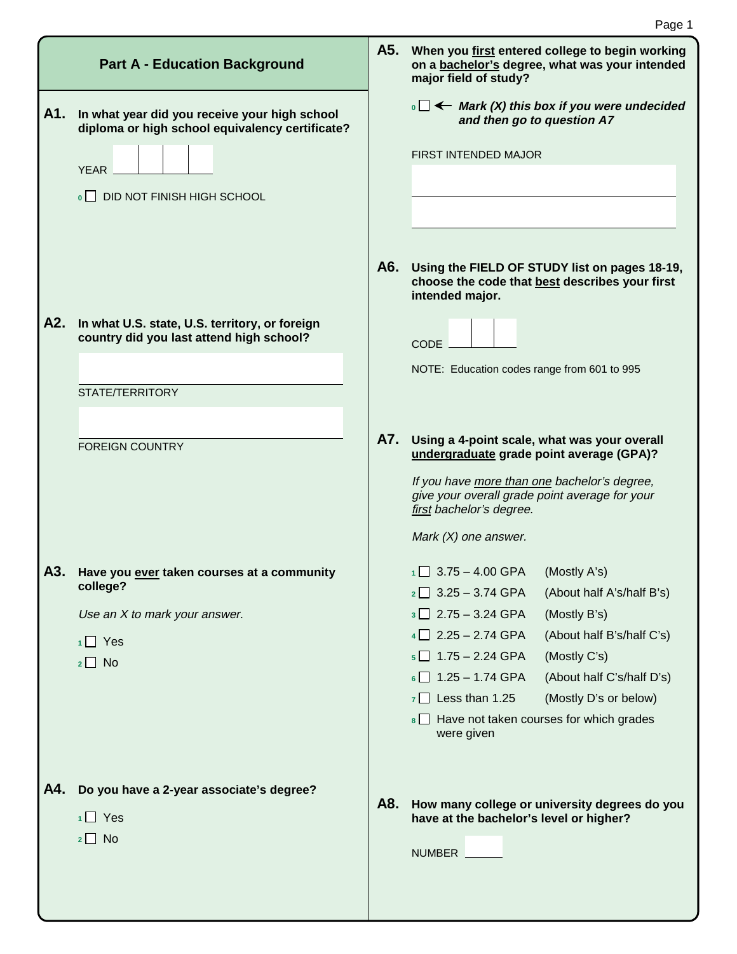|     | <b>Part A - Education Background</b>                                                             |     | A5. When you first entered college to begin working<br>on a bachelor's degree, what was your intended<br>major field of study? |
|-----|--------------------------------------------------------------------------------------------------|-----|--------------------------------------------------------------------------------------------------------------------------------|
| A1. | In what year did you receive your high school<br>diploma or high school equivalency certificate? |     | $\cdot \Box \leftarrow$ Mark (X) this box if you were undecided<br>and then go to question A7                                  |
|     | <b>YEAR</b>                                                                                      |     | FIRST INTENDED MAJOR                                                                                                           |
|     | DID NOT FINISH HIGH SCHOOL                                                                       |     |                                                                                                                                |
|     |                                                                                                  |     |                                                                                                                                |
|     |                                                                                                  |     |                                                                                                                                |
|     |                                                                                                  | A6. | Using the FIELD OF STUDY list on pages 18-19,<br>choose the code that best describes your first<br>intended major.             |
| A2. | In what U.S. state, U.S. territory, or foreign<br>country did you last attend high school?       |     | <b>CODE</b>                                                                                                                    |
|     |                                                                                                  |     | NOTE: Education codes range from 601 to 995                                                                                    |
|     | STATE/TERRITORY                                                                                  |     |                                                                                                                                |
|     |                                                                                                  |     |                                                                                                                                |
|     | <b>FOREIGN COUNTRY</b>                                                                           | A7. | Using a 4-point scale, what was your overall<br>undergraduate grade point average (GPA)?                                       |
|     |                                                                                                  |     | If you have more than one bachelor's degree,<br>give your overall grade point average for your<br>first bachelor's degree.     |
|     |                                                                                                  |     | Mark $(X)$ one answer.                                                                                                         |
| A3. | Have you ever taken courses at a community                                                       |     | $1 \square$ 3.75 - 4.00 GPA<br>(Mostly A's)                                                                                    |
|     | college?                                                                                         |     | $2 \square$ 3.25 - 3.74 GPA<br>(About half A's/half B's)                                                                       |
|     | Use an X to mark your answer.                                                                    |     | $3 \square$ 2.75 - 3.24 GPA<br>(Mostly B's)                                                                                    |
|     | $1 \square$ Yes                                                                                  |     | (About half B's/half C's)<br>$4 \square$ 2.25 - 2.74 GPA                                                                       |
|     | $2 \square$ No                                                                                   |     | $5 \square$ 1.75 - 2.24 GPA<br>(Mostly C's)                                                                                    |
|     |                                                                                                  |     | $6 \square$ 1.25 - 1.74 GPA<br>(About half C's/half D's)                                                                       |
|     |                                                                                                  |     | $7 \Box$ Less than 1.25<br>(Mostly D's or below)                                                                               |
|     |                                                                                                  |     | 8 Have not taken courses for which grades<br>were given                                                                        |
|     |                                                                                                  |     |                                                                                                                                |
| A4. | Do you have a 2-year associate's degree?                                                         | A8. | How many college or university degrees do you                                                                                  |
|     | $1 \square$ Yes                                                                                  |     | have at the bachelor's level or higher?                                                                                        |
|     | $2 \Box$ No                                                                                      |     | NUMBER                                                                                                                         |
|     |                                                                                                  |     |                                                                                                                                |
|     |                                                                                                  |     |                                                                                                                                |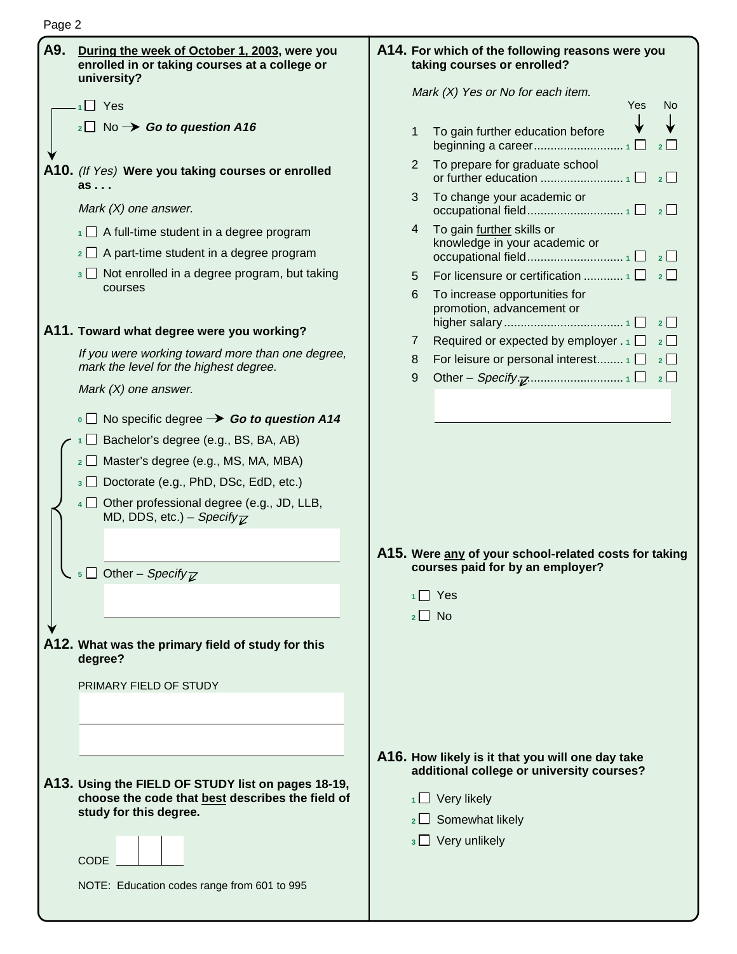| A9. | During the week of October 1, 2003, were you<br>enrolled in or taking courses at a college or<br>university?                                    |   | A14. For which of the following reasons were you<br>taking courses or enrolled?                                                                                                     |
|-----|-------------------------------------------------------------------------------------------------------------------------------------------------|---|-------------------------------------------------------------------------------------------------------------------------------------------------------------------------------------|
|     | $\overline{1}$ Yes                                                                                                                              |   | Mark (X) Yes or No for each item.<br><b>Yes</b><br>No                                                                                                                               |
|     | $_2\square$ No $\rightarrow$ Go to question A16                                                                                                 | 1 | To gain further education before<br>$\overline{2}$                                                                                                                                  |
|     | A10. (If Yes) Were you taking courses or enrolled<br>as                                                                                         | 2 | To prepare for graduate school                                                                                                                                                      |
|     | Mark $(X)$ one answer.                                                                                                                          | 3 | To change your academic or                                                                                                                                                          |
|     | $\overline{1}$ A full-time student in a degree program                                                                                          | 4 | To gain further skills or<br>knowledge in your academic or                                                                                                                          |
|     | $\frac{1}{2}$ A part-time student in a degree program                                                                                           |   |                                                                                                                                                                                     |
|     | $\frac{1}{3}$ Not enrolled in a degree program, but taking<br>courses                                                                           | 5 |                                                                                                                                                                                     |
|     | A11. Toward what degree were you working?                                                                                                       | 6 | To increase opportunities for<br>promotion, advancement or<br>$\overline{\phantom{a}}$ 2                                                                                            |
|     | If you were working toward more than one degree,                                                                                                | 7 | Required or expected by employer $.1$ $\Box$<br>$\overline{\mathbf{2}}$                                                                                                             |
|     | mark the level for the highest degree.                                                                                                          | 8 | For leisure or personal interest $\Box$<br>$2\Box$                                                                                                                                  |
|     | Mark $(X)$ one answer.                                                                                                                          | 9 | $\overline{\phantom{0}}$ 2                                                                                                                                                          |
|     | $\overline{\phantom{a}}$ No specific degree $\rightarrow$ Go to question A14                                                                    |   |                                                                                                                                                                                     |
|     | $\Box$ Bachelor's degree (e.g., BS, BA, AB)                                                                                                     |   |                                                                                                                                                                                     |
|     | 2 □ Master's degree (e.g., MS, MA, MBA)                                                                                                         |   |                                                                                                                                                                                     |
|     | 3 Doctorate (e.g., PhD, DSc, EdD, etc.)                                                                                                         |   |                                                                                                                                                                                     |
|     | $4 \Box$ Other professional degree (e.g., JD, LLB,<br>MD, DDS, etc.) – Specify $\overline{\chi}$                                                |   | A15. Were any of your school-related costs for taking                                                                                                                               |
|     | $\overline{\phantom{a}}$ Other – Specify $\overline{\phantom{a}}$                                                                               |   | courses paid for by an employer?                                                                                                                                                    |
|     |                                                                                                                                                 |   | Yes                                                                                                                                                                                 |
|     |                                                                                                                                                 |   | $2 \Box$ No                                                                                                                                                                         |
|     | A12. What was the primary field of study for this<br>degree?                                                                                    |   |                                                                                                                                                                                     |
|     | PRIMARY FIELD OF STUDY                                                                                                                          |   |                                                                                                                                                                                     |
|     | A13. Using the FIELD OF STUDY list on pages 18-19,<br>choose the code that best describes the field of<br>study for this degree.<br><b>CODE</b> |   | A16. How likely is it that you will one day take<br>additional college or university courses?<br>$1 \square$ Very likely<br>$\frac{1}{2}$ Somewhat likely<br>$3 \Box$ Very unlikely |
|     | NOTE: Education codes range from 601 to 995                                                                                                     |   |                                                                                                                                                                                     |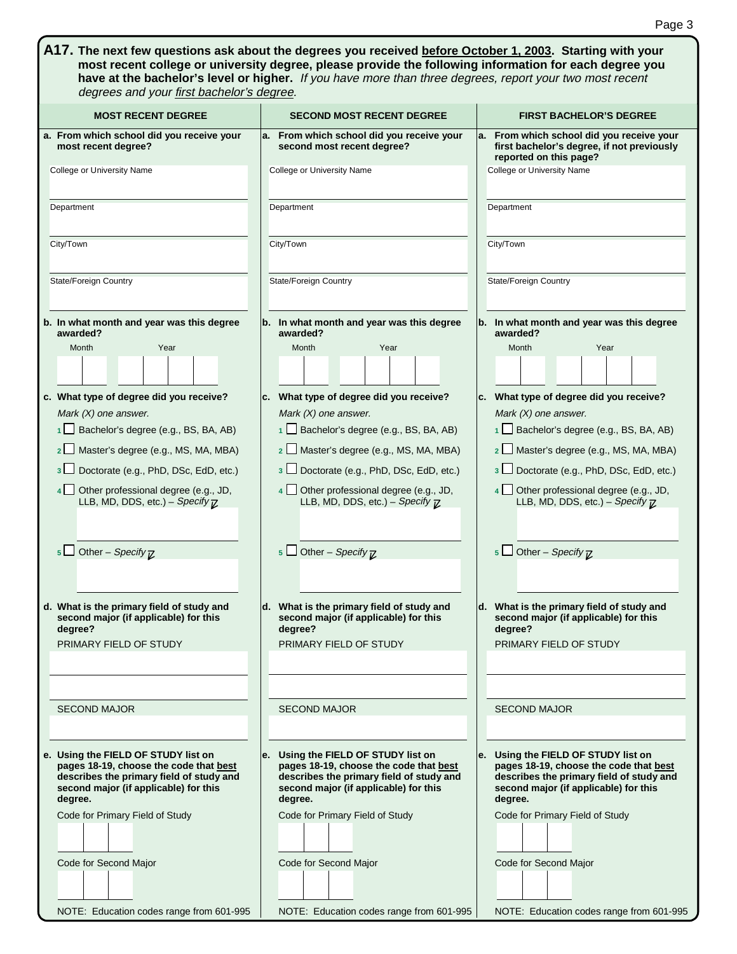| A17. The next few questions ask about the degrees you received before October 1, 2003. Starting with your<br>most recent college or university degree, please provide the following information for each degree you<br>have at the bachelor's level or higher. If you have more than three degrees, report your two most recent<br>degrees and your first bachelor's degree.                                                                                                                                    |                                                                                                                                                                                                                                                                                                                                                                                                                                                                          |                                                                                                                                                                                                                                                                                                                                                                                                                                                                                                                                   |  |  |  |
|-----------------------------------------------------------------------------------------------------------------------------------------------------------------------------------------------------------------------------------------------------------------------------------------------------------------------------------------------------------------------------------------------------------------------------------------------------------------------------------------------------------------|--------------------------------------------------------------------------------------------------------------------------------------------------------------------------------------------------------------------------------------------------------------------------------------------------------------------------------------------------------------------------------------------------------------------------------------------------------------------------|-----------------------------------------------------------------------------------------------------------------------------------------------------------------------------------------------------------------------------------------------------------------------------------------------------------------------------------------------------------------------------------------------------------------------------------------------------------------------------------------------------------------------------------|--|--|--|
| <b>MOST RECENT DEGREE</b>                                                                                                                                                                                                                                                                                                                                                                                                                                                                                       | <b>SECOND MOST RECENT DEGREE</b>                                                                                                                                                                                                                                                                                                                                                                                                                                         | <b>FIRST BACHELOR'S DEGREE</b>                                                                                                                                                                                                                                                                                                                                                                                                                                                                                                    |  |  |  |
| a. From which school did you receive your<br>most recent degree?                                                                                                                                                                                                                                                                                                                                                                                                                                                | a. From which school did you receive your<br>second most recent degree?                                                                                                                                                                                                                                                                                                                                                                                                  | a. From which school did you receive your<br>first bachelor's degree, if not previously<br>reported on this page?                                                                                                                                                                                                                                                                                                                                                                                                                 |  |  |  |
| College or University Name                                                                                                                                                                                                                                                                                                                                                                                                                                                                                      | College or University Name                                                                                                                                                                                                                                                                                                                                                                                                                                               | College or University Name                                                                                                                                                                                                                                                                                                                                                                                                                                                                                                        |  |  |  |
| Department                                                                                                                                                                                                                                                                                                                                                                                                                                                                                                      | Department                                                                                                                                                                                                                                                                                                                                                                                                                                                               | Department                                                                                                                                                                                                                                                                                                                                                                                                                                                                                                                        |  |  |  |
|                                                                                                                                                                                                                                                                                                                                                                                                                                                                                                                 |                                                                                                                                                                                                                                                                                                                                                                                                                                                                          |                                                                                                                                                                                                                                                                                                                                                                                                                                                                                                                                   |  |  |  |
| City/Town                                                                                                                                                                                                                                                                                                                                                                                                                                                                                                       | City/Town                                                                                                                                                                                                                                                                                                                                                                                                                                                                | City/Town                                                                                                                                                                                                                                                                                                                                                                                                                                                                                                                         |  |  |  |
| <b>State/Foreign Country</b>                                                                                                                                                                                                                                                                                                                                                                                                                                                                                    | State/Foreign Country                                                                                                                                                                                                                                                                                                                                                                                                                                                    | <b>State/Foreign Country</b>                                                                                                                                                                                                                                                                                                                                                                                                                                                                                                      |  |  |  |
| b. In what month and year was this degree<br>awarded?                                                                                                                                                                                                                                                                                                                                                                                                                                                           | b. In what month and year was this degree<br>awarded?                                                                                                                                                                                                                                                                                                                                                                                                                    | b. In what month and year was this degree<br>awarded?                                                                                                                                                                                                                                                                                                                                                                                                                                                                             |  |  |  |
| Year<br>Month                                                                                                                                                                                                                                                                                                                                                                                                                                                                                                   | Year<br>Month                                                                                                                                                                                                                                                                                                                                                                                                                                                            | Year<br>Month                                                                                                                                                                                                                                                                                                                                                                                                                                                                                                                     |  |  |  |
|                                                                                                                                                                                                                                                                                                                                                                                                                                                                                                                 |                                                                                                                                                                                                                                                                                                                                                                                                                                                                          |                                                                                                                                                                                                                                                                                                                                                                                                                                                                                                                                   |  |  |  |
| c. What type of degree did you receive?<br>Mark $(X)$ one answer.<br>Bachelor's degree (e.g., BS, BA, AB)<br>1<br>Master's degree (e.g., MS, MA, MBA)<br>2 <sup>1</sup><br>Doctorate (e.g., PhD, DSc, EdD, etc.)<br>3 <sup>1</sup><br>Other professional degree (e.g., JD,<br>4 <sup>1</sup><br>LLB, MD, DDS, etc.) - Specify $\mathbb Z$<br>Other - Specify $\overline{\nu}$<br>5 l<br>d. What is the primary field of study and<br>second major (if applicable) for this<br>degree?<br>PRIMARY FIELD OF STUDY | c. What type of degree did you receive?<br>Mark $(X)$ one answer.<br>1 Bachelor's degree (e.g., BS, BA, AB)<br>2 Master's degree (e.g., MS, MA, MBA)<br>3 Doctorate (e.g., PhD, DSc, EdD, etc.)<br>4   Other professional degree (e.g., JD,<br>LLB, MD, DDS, etc.) - Specify $\mathbb Z$<br>5 $\Box$ Other – Specify $\overline{\mathcal{L}}$<br>d. What is the primary field of study and<br>second major (if applicable) for this<br>degree?<br>PRIMARY FIELD OF STUDY | c. What type of degree did you receive?<br>Mark $(X)$ one answer.<br>Bachelor's degree (e.g., BS, BA, AB)<br>$1 \Box$<br>Master's degree (e.g., MS, MA, MBA)<br>2 <sup>1</sup><br>Doctorate (e.g., PhD, DSc, EdD, etc.)<br>3 <sup>1</sup><br>Other professional degree (e.g., JD,<br>4 <sup>1</sup><br>LLB, MD, DDS, etc.) - Specify $\mathbb Z$<br>Other - Specify $\overline{\nu}$<br>5 <sub>1</sub><br>d. What is the primary field of study and<br>second major (if applicable) for this<br>degree?<br>PRIMARY FIELD OF STUDY |  |  |  |
| <b>SECOND MAJOR</b><br>e. Using the FIELD OF STUDY list on<br>pages 18-19, choose the code that best<br>describes the primary field of study and<br>second major (if applicable) for this<br>degree.<br>Code for Primary Field of Study<br>Code for Second Major                                                                                                                                                                                                                                                | <b>SECOND MAJOR</b><br>e. Using the FIELD OF STUDY list on<br>pages 18-19, choose the code that best<br>describes the primary field of study and<br>second major (if applicable) for this<br>degree.<br>Code for Primary Field of Study<br>Code for Second Major                                                                                                                                                                                                         | <b>SECOND MAJOR</b><br>e. Using the FIELD OF STUDY list on<br>pages 18-19, choose the code that best<br>describes the primary field of study and<br>second major (if applicable) for this<br>degree.<br>Code for Primary Field of Study<br>Code for Second Major                                                                                                                                                                                                                                                                  |  |  |  |
| NOTE: Education codes range from 601-995                                                                                                                                                                                                                                                                                                                                                                                                                                                                        | NOTE: Education codes range from 601-995                                                                                                                                                                                                                                                                                                                                                                                                                                 | NOTE: Education codes range from 601-995                                                                                                                                                                                                                                                                                                                                                                                                                                                                                          |  |  |  |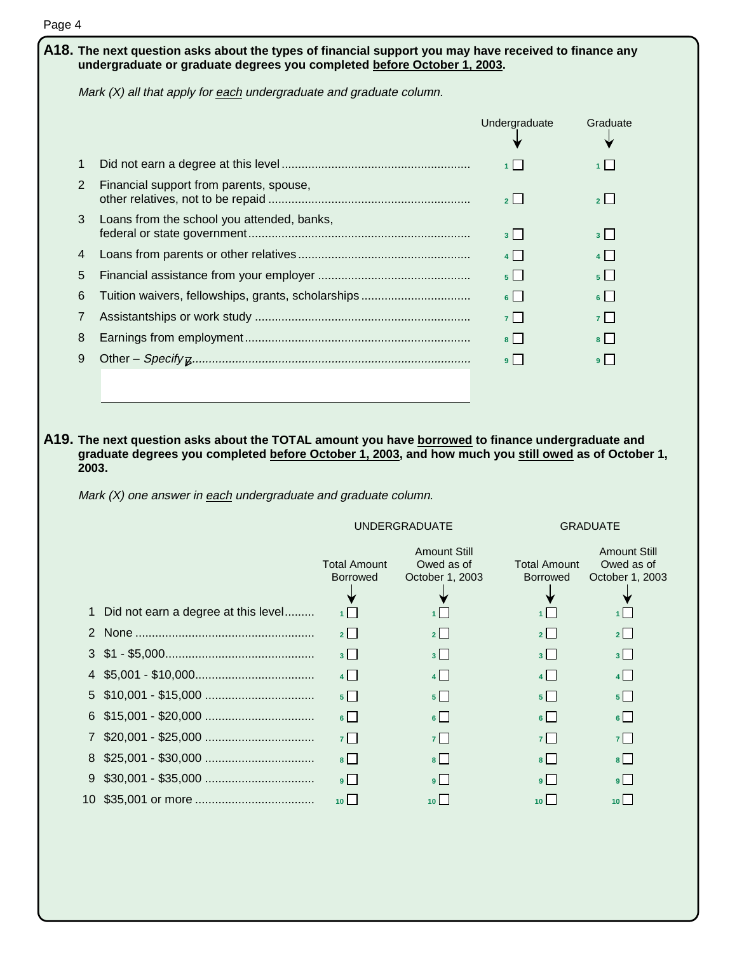| Page 4                                                                                                                                                                                      |                                                                       |                |                     |  |  |
|---------------------------------------------------------------------------------------------------------------------------------------------------------------------------------------------|-----------------------------------------------------------------------|----------------|---------------------|--|--|
| $\mathsf{A18}.$ The next question asks about the types of financial support you may have received to finance any<br>undergraduate or graduate degrees you completed before October 1, 2003. |                                                                       |                |                     |  |  |
|                                                                                                                                                                                             | Mark $(X)$ all that apply for each undergraduate and graduate column. |                |                     |  |  |
|                                                                                                                                                                                             |                                                                       | Undergraduate  | Graduate            |  |  |
| 1                                                                                                                                                                                           |                                                                       | 1              | 1 <sup>1</sup>      |  |  |
| 2                                                                                                                                                                                           | Financial support from parents, spouse,                               | $2$            | $2$                 |  |  |
| 3                                                                                                                                                                                           | Loans from the school you attended, banks,                            | $3 \mid$       | $3 \mid$            |  |  |
| 4                                                                                                                                                                                           |                                                                       | $4 \mid$       |                     |  |  |
| 5                                                                                                                                                                                           |                                                                       | 5 <sub>1</sub> | $5 \mid$            |  |  |
| 6                                                                                                                                                                                           | Tuition waivers, fellowships, grants, scholarships                    | $6 \mid$       | $\lceil$   $\lceil$ |  |  |
| 7                                                                                                                                                                                           |                                                                       | $7\Box$        | 7 <sup>1</sup>      |  |  |
| 8                                                                                                                                                                                           |                                                                       | $8$            | $8$                 |  |  |
| 9                                                                                                                                                                                           |                                                                       | $9$            | 9 <sup>1</sup>      |  |  |

**A19. The next question asks about the TOTAL amount you have borrowed to finance undergraduate and graduate degrees you completed before October 1, 2003, and how much you still owed as of October 1, 2003.** 

Mark  $(X)$  one answer in each undergraduate and graduate column.

UNDERGRADUATE GRADUATE

|                                       | <b>Total Amount</b><br><b>Borrowed</b> | <b>Amount Still</b><br>Owed as of<br>October 1, 2003 | <b>Total Amount</b><br><b>Borrowed</b> | <b>Amount Still</b><br>Owed as of<br>October 1, 2003 |
|---------------------------------------|----------------------------------------|------------------------------------------------------|----------------------------------------|------------------------------------------------------|
| 1 Did not earn a degree at this level |                                        | $1$   $\overline{1}$                                 | 1 L                                    |                                                      |
|                                       | 2                                      | $2$   $\overline{ }$                                 | 2                                      | $2$   $\overline{ }$                                 |
|                                       | 3 <sup>1</sup>                         | 3                                                    | $3 \mid \cdot \mid$                    | 3                                                    |
|                                       | 4                                      | $4$                                                  | 4                                      | $4$                                                  |
|                                       | $5$                                    | $5$   $\overline{\phantom{0}}$                       | $5$   $\overline{\phantom{0}}$         | $5$   $\overline{\phantom{0}}$                       |
|                                       | $6\Box$                                | $6$   $\overline{\phantom{0}}$                       | $6$   $\overline{\phantom{0}}$         | $6$   $\overline{\phantom{0}}$                       |
|                                       | 7 <sup>1</sup>                         | 7 <sup>1</sup>                                       | $7-1$                                  | 7 <sup>1</sup>                                       |
|                                       | 8                                      | $8$                                                  | 8                                      | $8$   $\overline{\phantom{0}}$                       |
|                                       | 9 <sup>1</sup>                         | 9 <sup>1</sup>                                       | 9 <sup>1</sup>                         | 9 <sup>1</sup>                                       |
|                                       | $10$ $\vert$                           | 10 <sup>1</sup>                                      |                                        | $10$ $\vert$                                         |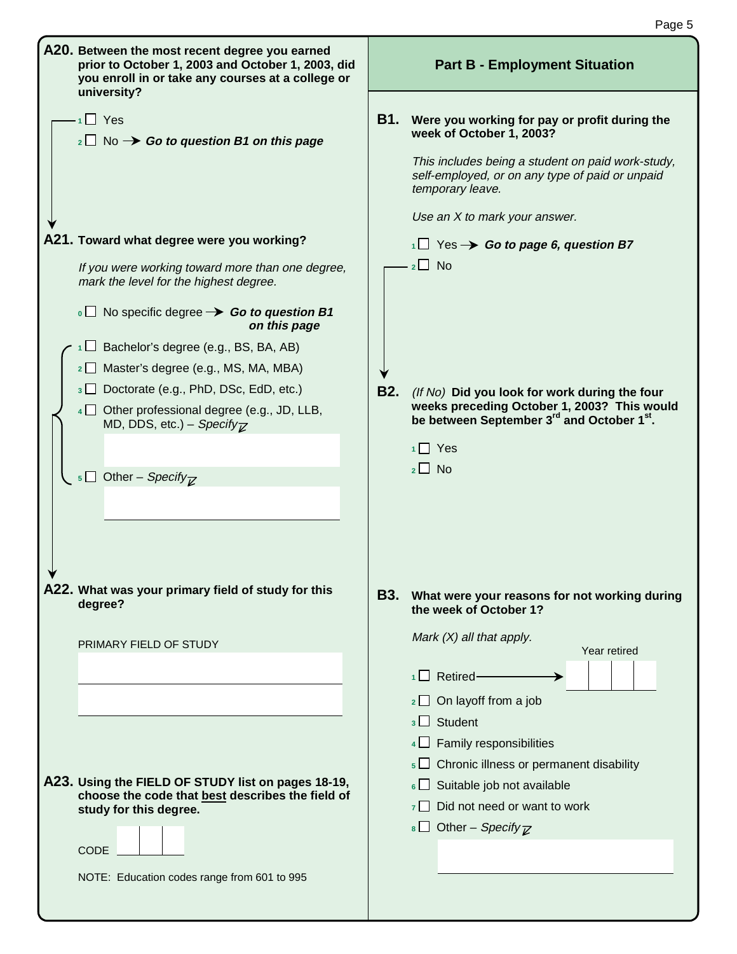|                                                                                                                                                                                                                                                                                                                                                                                                                                                                                                                                                                  | Page 5                                                                                                                                                                                                                                                                                                                                                                      |
|------------------------------------------------------------------------------------------------------------------------------------------------------------------------------------------------------------------------------------------------------------------------------------------------------------------------------------------------------------------------------------------------------------------------------------------------------------------------------------------------------------------------------------------------------------------|-----------------------------------------------------------------------------------------------------------------------------------------------------------------------------------------------------------------------------------------------------------------------------------------------------------------------------------------------------------------------------|
| A20. Between the most recent degree you earned<br>prior to October 1, 2003 and October 1, 2003, did<br>you enroll in or take any courses at a college or<br>university?                                                                                                                                                                                                                                                                                                                                                                                          | <b>Part B - Employment Situation</b>                                                                                                                                                                                                                                                                                                                                        |
| $\overline{1}$ Yes<br>$_2\square$ No $\rightarrow$ Go to question B1 on this page                                                                                                                                                                                                                                                                                                                                                                                                                                                                                | <b>B1.</b><br>Were you working for pay or profit during the<br>week of October 1, 2003?<br>This includes being a student on paid work-study,<br>self-employed, or on any type of paid or unpaid<br>temporary leave.<br>Use an X to mark your answer.                                                                                                                        |
| A21. Toward what degree were you working?                                                                                                                                                                                                                                                                                                                                                                                                                                                                                                                        | $\overline{AB}$ Yes $\rightarrow$ Go to page 6, question B7                                                                                                                                                                                                                                                                                                                 |
| If you were working toward more than one degree,<br>mark the level for the highest degree.<br>$\overline{\phantom{0}}$ No specific degree $\rightarrow$ Go to question B1<br>on this page<br>$\Box$ Bachelor's degree (e.g., BS, BA, AB)<br>2 D Master's degree (e.g., MS, MA, MBA)<br>$\overline{\mathcal{E}}$ Doctorate (e.g., PhD, DSc, EdD, etc.)<br>4 Other professional degree (e.g., JD, LLB,<br>MD, DDS, etc.) - Specify <sub><math>\overline{z}</math></sub><br>$\overline{\phantom{a}}$ Other – Specify <sub><math>\overline{\phantom{a}}</math></sub> | $2 \square$ No<br><b>B2.</b><br>(If No) Did you look for work during the four<br>weeks preceding October 1, 2003? This would<br>be between September 3 <sup>rd</sup> and October 1 <sup>st</sup> .<br>Yes<br>$2 \Box$ No                                                                                                                                                    |
| A22. What was your primary field of study for this<br>degree?                                                                                                                                                                                                                                                                                                                                                                                                                                                                                                    | <b>B3.</b><br>What were your reasons for not working during<br>the week of October 1?                                                                                                                                                                                                                                                                                       |
| PRIMARY FIELD OF STUDY<br>A23. Using the FIELD OF STUDY list on pages 18-19,<br>choose the code that best describes the field of<br>study for this degree.<br><b>CODE</b><br>NOTE: Education codes range from 601 to 995                                                                                                                                                                                                                                                                                                                                         | Mark $(X)$ all that apply.<br>Year retired<br>$\Box$ Retired-<br>$2 \Box$ On layoff from a job<br>Student<br>3 <sup>1</sup><br>$4 \Box$ Family responsibilities<br>Chronic illness or permanent disability<br>$\frac{1}{6}\Box$ Suitable job not available<br>Did not need or want to work<br>7 <sup>1</sup><br>$\overline{\text{B}}$ Other – Specify $\overline{\text{Z}}$ |
|                                                                                                                                                                                                                                                                                                                                                                                                                                                                                                                                                                  |                                                                                                                                                                                                                                                                                                                                                                             |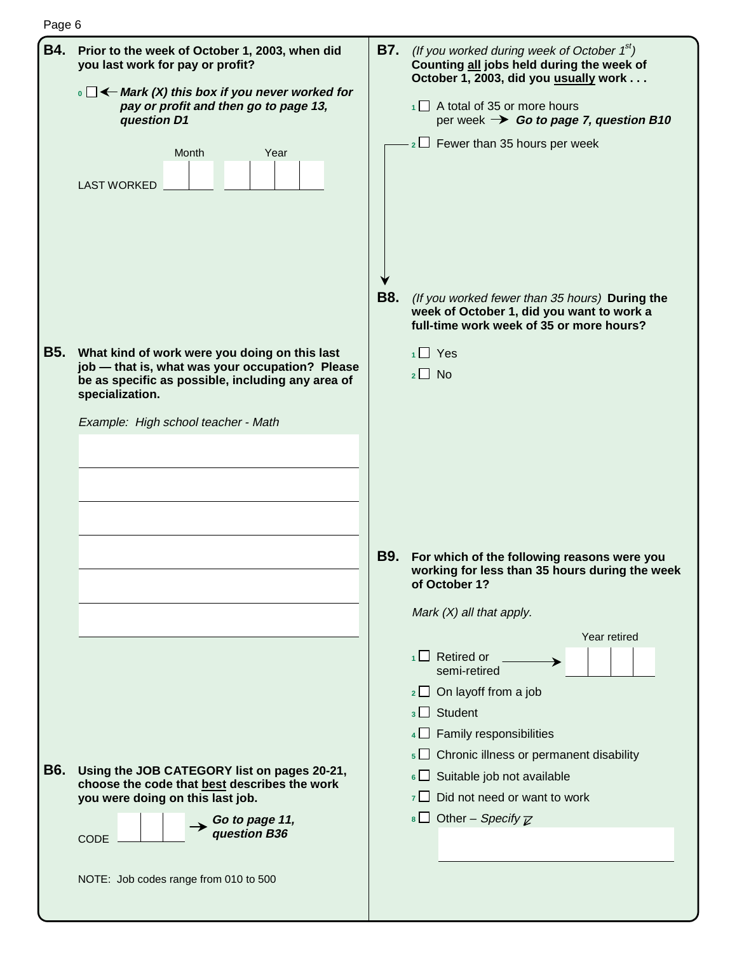|--|--|

| <b>B4.</b> | Prior to the week of October 1, 2003, when did<br>you last work for pay or profit?<br>$\cdot$ $\Box$ $\leftarrow$ Mark (X) this box if you never worked for<br>pay or profit and then go to page 13,<br>question D1<br>Month<br>Year<br><b>LAST WORKED</b> | B7.        | (If you worked during week of October $1^{st}$ )<br>Counting all jobs held during the week of<br>October 1, 2003, did you usually work<br>$\overline{1}$ A total of 35 or more hours<br>per week $\rightarrow$ Go to page 7, question B10<br>$_2 \Box$ Fewer than 35 hours per week                                                                                            |
|------------|------------------------------------------------------------------------------------------------------------------------------------------------------------------------------------------------------------------------------------------------------------|------------|--------------------------------------------------------------------------------------------------------------------------------------------------------------------------------------------------------------------------------------------------------------------------------------------------------------------------------------------------------------------------------|
| <b>B5.</b> | What kind of work were you doing on this last                                                                                                                                                                                                              | <b>B8.</b> | (If you worked fewer than 35 hours) During the<br>week of October 1, did you want to work a<br>full-time work week of 35 or more hours?                                                                                                                                                                                                                                        |
|            | job - that is, what was your occupation? Please<br>be as specific as possible, including any area of<br>specialization.<br>Example: High school teacher - Math                                                                                             |            | $1 \square$ Yes<br>$2 \Box$ No                                                                                                                                                                                                                                                                                                                                                 |
|            |                                                                                                                                                                                                                                                            | <b>B9.</b> | For which of the following reasons were you<br>working for less than 35 hours during the week<br>of October 1?<br>Mark $(X)$ all that apply.                                                                                                                                                                                                                                   |
| <b>B6.</b> | Using the JOB CATEGORY list on pages 20-21,<br>choose the code that best describes the work<br>you were doing on this last job.<br>Go to page 11,<br>question B36<br>CODE                                                                                  |            | Year retired<br>$1 \square$ Retired or<br>semi-retired<br>$\frac{1}{2}$ On layoff from a job<br><sub>3</sub> Student<br>$4\Box$ Family responsibilities<br>$\mathbf{s}$ $\Box$ Chronic illness or permanent disability<br>6 Suitable job not available<br>Did not need or want to work<br>7 <sup>1</sup><br>$\overline{\text{B}}$ Other – <i>Specify</i> $\overline{\text{Z}}$ |
|            | NOTE: Job codes range from 010 to 500                                                                                                                                                                                                                      |            |                                                                                                                                                                                                                                                                                                                                                                                |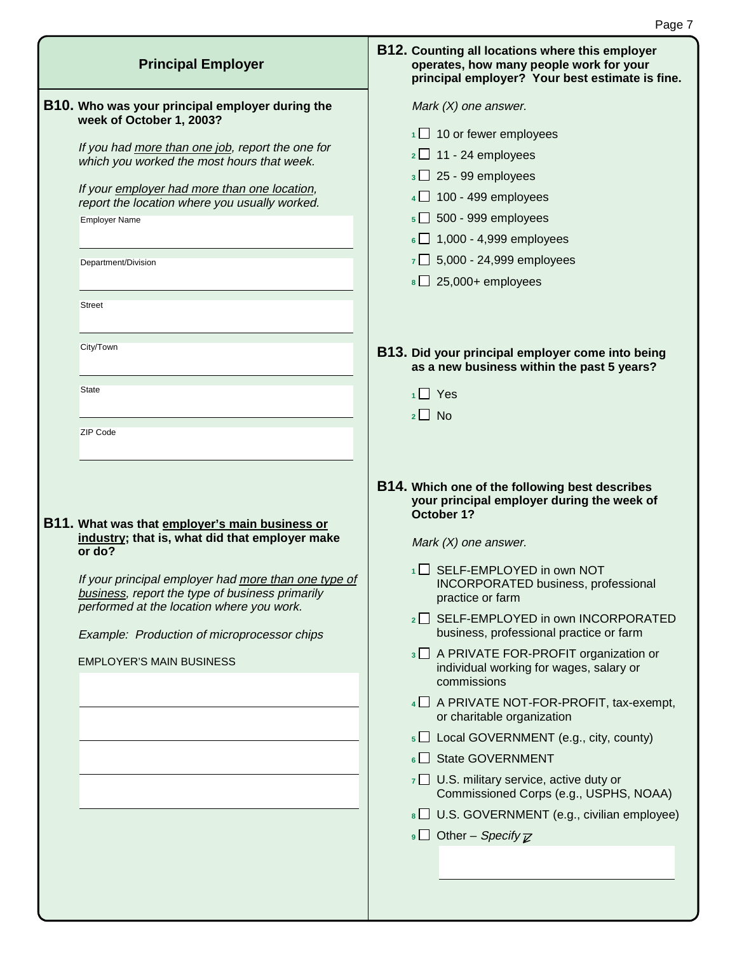| <b>Principal Employer</b>                                                                                                                                                                                                                                                                                                                                   | <b>B12. Counting all locations where this employer</b><br>operates, how many people work for your<br>principal employer? Your best estimate is fine.                                                                                                                                                                                                                                                                                                                                                                                                                                                                                                                                                                                                                                                           |
|-------------------------------------------------------------------------------------------------------------------------------------------------------------------------------------------------------------------------------------------------------------------------------------------------------------------------------------------------------------|----------------------------------------------------------------------------------------------------------------------------------------------------------------------------------------------------------------------------------------------------------------------------------------------------------------------------------------------------------------------------------------------------------------------------------------------------------------------------------------------------------------------------------------------------------------------------------------------------------------------------------------------------------------------------------------------------------------------------------------------------------------------------------------------------------------|
| <b>B10.</b> Who was your principal employer during the<br>week of October 1, 2003?<br>If you had more than one job, report the one for<br>which you worked the most hours that week.<br>If your employer had more than one location,<br>report the location where you usually worked.<br><b>Employer Name</b><br>Department/Division<br><b>Street</b>       | Mark $(X)$ one answer.<br>$1 \square$ 10 or fewer employees<br>$2 \square$ 11 - 24 employees<br>$3 \square$ 25 - 99 employees<br>$4 \square$ 100 - 499 employees<br>$5\Box$ 500 - 999 employees<br>$\overline{6}$ 1,000 - 4,999 employees<br>$7 \square$ 5,000 - 24,999 employees<br>$8 \square$ 25,000+ employees                                                                                                                                                                                                                                                                                                                                                                                                                                                                                             |
| City/Town<br><b>State</b><br>ZIP Code                                                                                                                                                                                                                                                                                                                       | B13. Did your principal employer come into being<br>as a new business within the past 5 years?<br>$1 \square$ Yes<br>$2 \square$ No                                                                                                                                                                                                                                                                                                                                                                                                                                                                                                                                                                                                                                                                            |
| <b>B11.</b> What was that employer's main business or<br>industry; that is, what did that employer make<br>or do?<br>If your principal employer had more than one type of<br>business, report the type of business primarily<br>performed at the location where you work.<br>Example: Production of microprocessor chips<br><b>EMPLOYER'S MAIN BUSINESS</b> | B14. Which one of the following best describes<br>your principal employer during the week of<br>October 1?<br>Mark $(X)$ one answer.<br>$\Box$ SELF-EMPLOYED in own NOT<br>1 <sup>1</sup><br>INCORPORATED business, professional<br>practice or farm<br>2 SELF-EMPLOYED in own INCORPORATED<br>business, professional practice or farm<br>3 A PRIVATE FOR-PROFIT organization or<br>individual working for wages, salary or<br>commissions<br>$4 \square$ A PRIVATE NOT-FOR-PROFIT, tax-exempt,<br>or charitable organization<br>$5 \square$ Local GOVERNMENT (e.g., city, county)<br>6 State GOVERNMENT<br>$\overline{z}$ U.S. military service, active duty or<br>Commissioned Corps (e.g., USPHS, NOAA)<br>8 U.S. GOVERNMENT (e.g., civilian employee)<br><b>9</b> Other – Specify $\overline{\mathcal{L}}$ |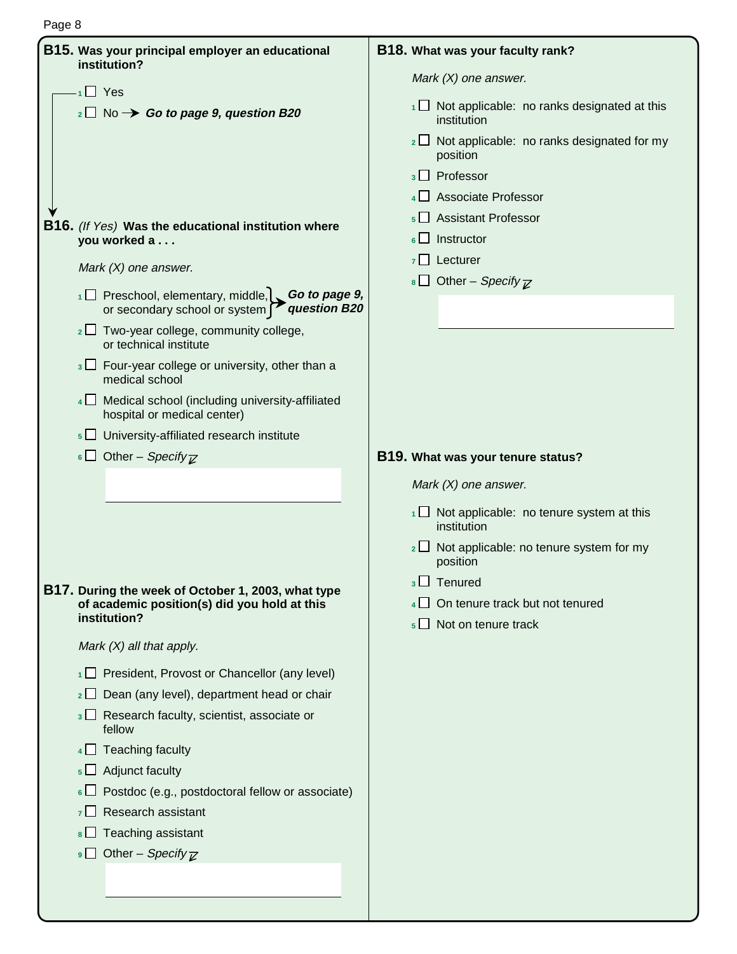| B15. Was your principal employer an educational<br>institution?                                                                                                                                                           |
|---------------------------------------------------------------------------------------------------------------------------------------------------------------------------------------------------------------------------|
| $\cdot$ <sub>1</sub> $\Box$ Yes                                                                                                                                                                                           |
| $_2\square$ No $\rightarrow$ Go to page 9, question B20                                                                                                                                                                   |
| <b>B16.</b> (If Yes) Was the educational institution where<br>you worked a                                                                                                                                                |
| Mark $(X)$ one answer.                                                                                                                                                                                                    |
| $\Box$ Preschool, elementary, middle, Go to page 9,<br>or secondary school or system question B20                                                                                                                         |
| $_2\square$ Two-year college, community college,<br>or technical institute                                                                                                                                                |
| $3 \Box$ Four-year college or university, other than a<br>medical school                                                                                                                                                  |
| 4   Medical school (including university-affiliated<br>hospital or medical center)                                                                                                                                        |
| $\mathfrak{g} \sqcup \sqcup$ University-affiliated research institute                                                                                                                                                     |
| 6 Other – Specify $\overline{z}$                                                                                                                                                                                          |
|                                                                                                                                                                                                                           |
| B17. During the week of October 1, 2003, what type<br>of academic position(s) did you hold at this<br>institution?                                                                                                        |
| Mark $(X)$ all that apply.                                                                                                                                                                                                |
| President, Provost or Chancellor (any level)<br>1 L L<br>Dean (any level), department head or chair<br>2 <sup>1</sup><br>Research faculty, scientist, associate or<br>$\overline{3}$<br>fellow<br>$\Box$ Teaching faculty |
| $\perp$ Adjunct faculty<br>5 <sup>1</sup><br>Postdoc (e.g., postdoctoral fellow or associate)                                                                                                                             |
| Research assistant                                                                                                                                                                                                        |
| Teaching assistant<br>8<br><b>9</b> Other – <i>Specify</i> $\overline{\mathbb{Z}}$                                                                                                                                        |
|                                                                                                                                                                                                                           |

#### **B18. What was your faculty rank?**

Mark (X) one answer.

- 1<sup>1</sup> Not applicable: no ranks designated at this institution
- 2  $\Box$  Not applicable: no ranks designated for my position
- **<sup>3</sup>** Professor
- **<sup>4</sup>** Associate Professor
- **<sup>5</sup>** Assistant Professor
- **<sup>6</sup>** Instructor
- **<sup>7</sup>** Lecturer
- **8** Other Specify  $\overline{\mathbb{Z}}$

#### **B19. What was your tenure status?**

Mark (X) one answer.

- 1<sup>1</sup> Not applicable: no tenure system at this institution
- 2 □ Not applicable: no tenure system for my position
- **<sup>3</sup>** Tenured
- 4<sup> $\Box$ </sup> On tenure track but not tenured
- **<sup>5</sup>** Not on tenure track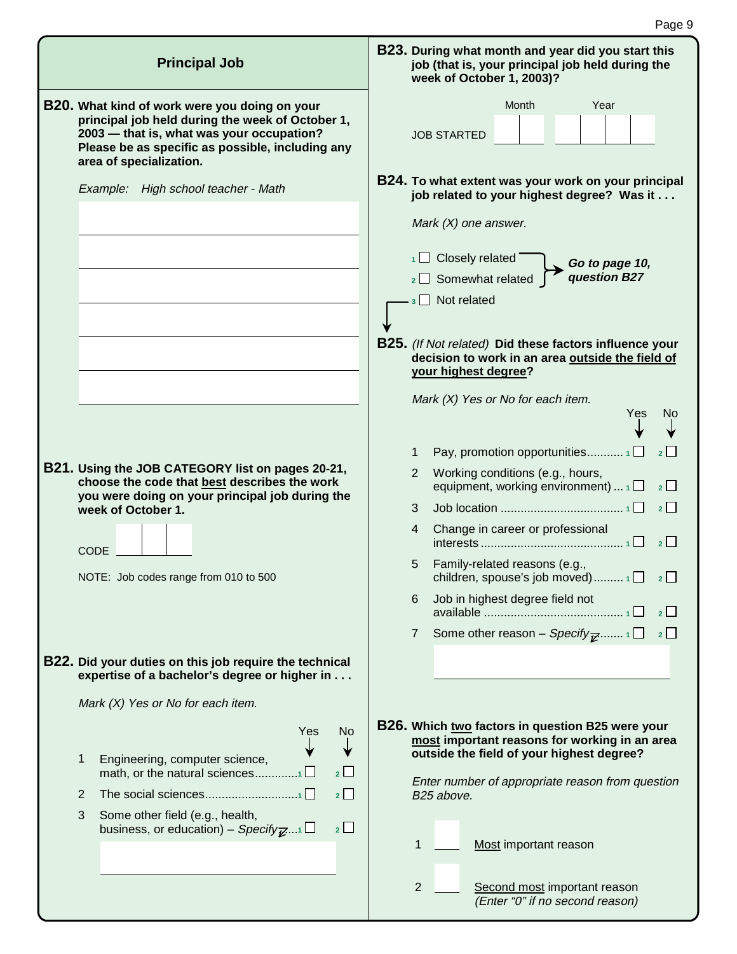| <b>Principal Job</b>                                                                                                                                                                                                          | B23. During what month and year did you start this<br>job (that is, your principal job held during the<br>week of October 1, 2003)?            |
|-------------------------------------------------------------------------------------------------------------------------------------------------------------------------------------------------------------------------------|------------------------------------------------------------------------------------------------------------------------------------------------|
| B20. What kind of work were you doing on your<br>principal job held during the week of October 1,<br>2003 - that is, what was your occupation?<br>Please be as specific as possible, including any<br>area of specialization. | Month<br>Year<br><b>JOB STARTED</b>                                                                                                            |
| Example: High school teacher - Math                                                                                                                                                                                           | B24. To what extent was your work on your principal<br>job related to your highest degree? Was it<br>Mark $(X)$ one answer.                    |
|                                                                                                                                                                                                                               | $1 \square$ Closely related<br>Go to page 10,<br>question B27<br>2 Somewhat related<br>$_3$ Not related                                        |
|                                                                                                                                                                                                                               | <b>B25.</b> (If Not related) Did these factors influence your<br>decision to work in an area outside the field of<br>your highest degree?      |
|                                                                                                                                                                                                                               | Mark $(X)$ Yes or No for each item.<br>Yes<br>Νo                                                                                               |
| B21. Using the JOB CATEGORY list on pages 20-21,<br>choose the code that best describes the work                                                                                                                              | $\overline{2}$<br>1<br>Working conditions (e.g., hours,<br>2<br>equipment, working environment) $\Box$<br>2 <sup>1</sup>                       |
| you were doing on your principal job during the<br>week of October 1.                                                                                                                                                         | 2<br>3                                                                                                                                         |
|                                                                                                                                                                                                                               | Change in career or professional<br>4<br>$\overline{2}$                                                                                        |
| CODE<br>NOTE: Job codes range from 010 to 500                                                                                                                                                                                 | Family-related reasons (e.g.,<br>5<br>children, spouse's job moved) $1 \Box$ $2 \Box$                                                          |
|                                                                                                                                                                                                                               | Job in highest degree field not<br>6<br>$\overline{2}$                                                                                         |
|                                                                                                                                                                                                                               | Some other reason – Specify $\overline{\mathbf{z}}$ $1 \Box \quad 2 \Box$<br>$\overline{7}$                                                    |
| B22. Did your duties on this job require the technical<br>expertise of a bachelor's degree or higher in                                                                                                                       |                                                                                                                                                |
| Mark (X) Yes or No for each item.                                                                                                                                                                                             |                                                                                                                                                |
| Yes<br><b>No</b><br>Engineering, computer science,<br>1                                                                                                                                                                       | B26. Which two factors in question B25 were your<br>most important reasons for working in an area<br>outside the field of your highest degree? |
| $2\Box$<br>$2\Box$<br>2                                                                                                                                                                                                       | Enter number of appropriate reason from question<br>B25 above.                                                                                 |
| 3<br>Some other field (e.g., health,                                                                                                                                                                                          |                                                                                                                                                |
| $2\Box$<br>business, or education) – Specify $\mathbb{Z}^{n+1}$                                                                                                                                                               | Most important reason<br>$\mathbf 1$                                                                                                           |
|                                                                                                                                                                                                                               | $\overline{2}$<br>Second most important reason<br>(Enter "0" if no second reason)                                                              |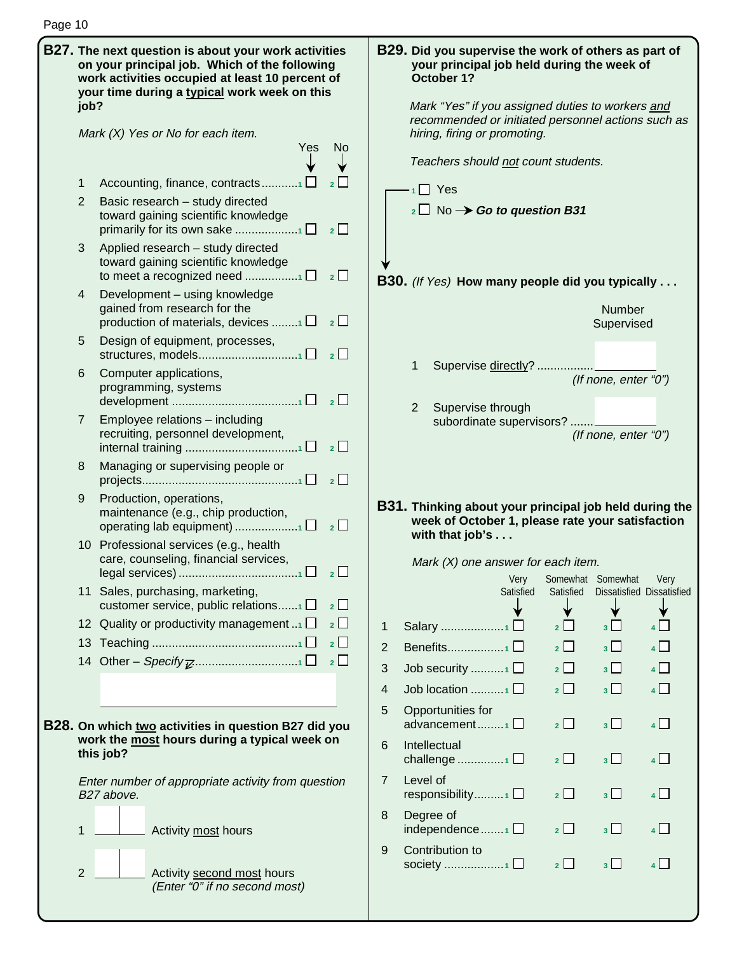|  | job?           | <b>B27.</b> The next question is about your work activities<br>on your principal job. Which of the following<br>work activities occupied at least 10 percent of<br>your time during a typical work week on this | B29. Did you supervise the work of others as part of<br>your principal job held during the week of<br>October 1?<br>Mark "Yes" if you assigned duties to workers and<br>recommended or initiated personnel actions such as<br>hiring, firing or promoting. |                                                                                                                                      |                       |                   |                                  |  |  |  |  |
|--|----------------|-----------------------------------------------------------------------------------------------------------------------------------------------------------------------------------------------------------------|------------------------------------------------------------------------------------------------------------------------------------------------------------------------------------------------------------------------------------------------------------|--------------------------------------------------------------------------------------------------------------------------------------|-----------------------|-------------------|----------------------------------|--|--|--|--|
|  |                | Mark $(X)$ Yes or No for each item.<br>Yes<br>No.                                                                                                                                                               |                                                                                                                                                                                                                                                            |                                                                                                                                      |                       |                   |                                  |  |  |  |  |
|  |                |                                                                                                                                                                                                                 |                                                                                                                                                                                                                                                            | Teachers should not count students.                                                                                                  |                       |                   |                                  |  |  |  |  |
|  | 1<br>2         | Accounting, finance, contracts1 $\Box$<br>$2$ $\Box$<br>Basic research - study directed<br>toward gaining scientific knowledge<br>$2 \Box$                                                                      |                                                                                                                                                                                                                                                            | $\cdot$ <sub>1</sub> Yes<br>$_2\square$ No $\rightarrow$ Go to question B31                                                          |                       |                   |                                  |  |  |  |  |
|  | 3              | Applied research - study directed<br>toward gaining scientific knowledge<br>$2$ $\Box$                                                                                                                          |                                                                                                                                                                                                                                                            |                                                                                                                                      |                       |                   |                                  |  |  |  |  |
|  | 4              | Development - using knowledge<br>gained from research for the<br>production of materials, devices 1 $\Box$ 2 $\Box$                                                                                             | <b>B30.</b> (If Yes) How many people did you typically<br><b>Number</b><br>Supervised                                                                                                                                                                      |                                                                                                                                      |                       |                   |                                  |  |  |  |  |
|  | 5              | Design of equipment, processes,<br>$\overline{\phantom{a}}$ 2                                                                                                                                                   |                                                                                                                                                                                                                                                            |                                                                                                                                      |                       |                   |                                  |  |  |  |  |
|  | 6              | Computer applications,<br>programming, systems                                                                                                                                                                  |                                                                                                                                                                                                                                                            | 1<br>Supervise directly?<br>(If none, enter "0")<br>2                                                                                |                       |                   |                                  |  |  |  |  |
|  | 7              | Employee relations - including<br>recruiting, personnel development,<br>$\overline{2}$                                                                                                                          |                                                                                                                                                                                                                                                            | Supervise through<br>subordinate supervisors?<br>(If none, enter "0")                                                                |                       |                   |                                  |  |  |  |  |
|  | 8              | Managing or supervising people or<br>$2\Box$                                                                                                                                                                    |                                                                                                                                                                                                                                                            |                                                                                                                                      |                       |                   |                                  |  |  |  |  |
|  | 9              | Production, operations,<br>maintenance (e.g., chip production,                                                                                                                                                  |                                                                                                                                                                                                                                                            | <b>B31.</b> Thinking about your principal job held during the<br>week of October 1, please rate your satisfaction<br>with that job's |                       |                   |                                  |  |  |  |  |
|  |                | 10 Professional services (e.g., health<br>care, counseling, financial services,<br>$\overline{2}$                                                                                                               |                                                                                                                                                                                                                                                            | Mark $(X)$ one answer for each item.<br>Very                                                                                         |                       | Somewhat Somewhat | Very                             |  |  |  |  |
|  |                | 11 Sales, purchasing, marketing,<br>customer service, public relations1<br>$2 \Box$                                                                                                                             |                                                                                                                                                                                                                                                            | Satisfied                                                                                                                            | Satisfied             |                   | <b>Dissatisfied Dissatisfied</b> |  |  |  |  |
|  |                | 12 Quality or productivity management<br>2                                                                                                                                                                      | 1                                                                                                                                                                                                                                                          | Salary 1 $\square$                                                                                                                   | $2 \Box$              | 3 <sup>1</sup>    | 4                                |  |  |  |  |
|  |                | $\overline{2}$                                                                                                                                                                                                  | 2                                                                                                                                                                                                                                                          | Benefits1 $\square$                                                                                                                  | $\overline{2}$        | $3\Box$           | $4$ $\Box$                       |  |  |  |  |
|  |                | $\overline{2}$                                                                                                                                                                                                  | 3                                                                                                                                                                                                                                                          | Job security $\Box$                                                                                                                  | $2$ $\Box$            | $3\Box$           | $4\Box$                          |  |  |  |  |
|  |                |                                                                                                                                                                                                                 | 4                                                                                                                                                                                                                                                          | Job location $\Box$                                                                                                                  | $\overline{2}$ $\Box$ | $3\Box$           | $\overline{4}$                   |  |  |  |  |
|  |                | B28. On which two activities in question B27 did you<br>work the most hours during a typical week on                                                                                                            | 5                                                                                                                                                                                                                                                          | Opportunities for<br>advancement1                                                                                                    | $\overline{2}$        | $3\Box$           | $4\Box$                          |  |  |  |  |
|  |                | this job?                                                                                                                                                                                                       | 6                                                                                                                                                                                                                                                          | Intellectual<br>challenge 1 $\square$                                                                                                | $2 \Box$              | $3\Box$           | $4$ $\Box$                       |  |  |  |  |
|  |                | Enter number of appropriate activity from question<br>B27 above.                                                                                                                                                | 7                                                                                                                                                                                                                                                          | Level of<br>responsibility $\Box$                                                                                                    | $\overline{2}$        | 3 <sup>1</sup>    | 4 <sup>1</sup>                   |  |  |  |  |
|  | 1              | Activity most hours                                                                                                                                                                                             | 8                                                                                                                                                                                                                                                          | Degree of<br>independence $\Box$                                                                                                     | $2 \Box$              | 3 <sup>1</sup>    | $4$ $\Box$                       |  |  |  |  |
|  | $\overline{2}$ | Activity second most hours<br>(Enter "0" if no second most)                                                                                                                                                     | 9                                                                                                                                                                                                                                                          | Contribution to                                                                                                                      | 2                     | 3 <sup>1</sup>    | $4\Box$                          |  |  |  |  |

Page 10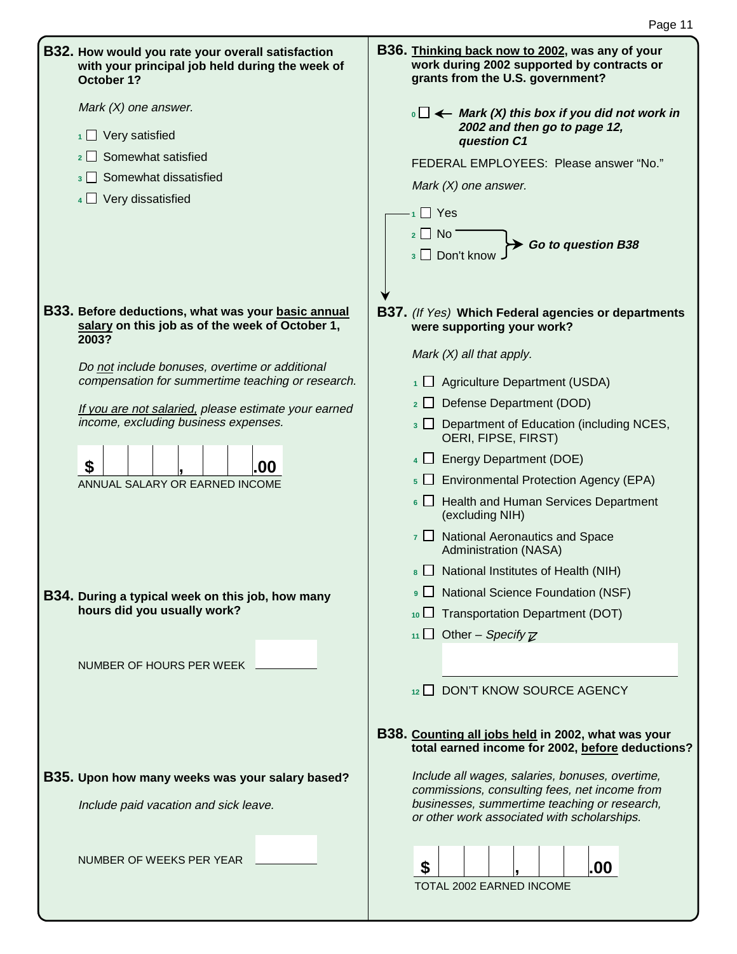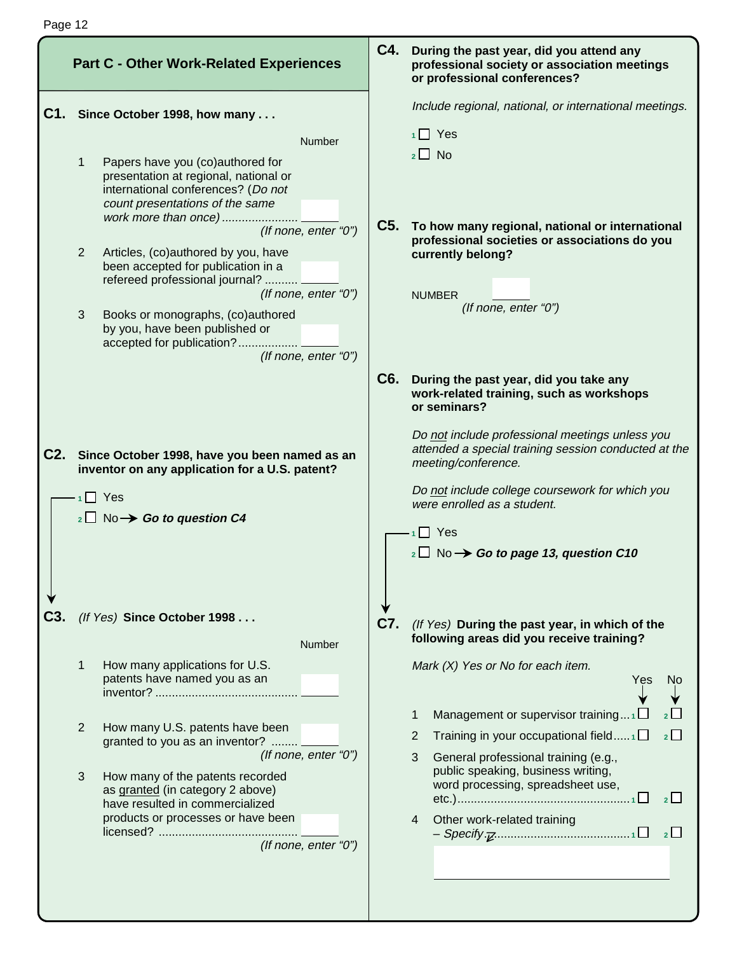|     | <b>Part C - Other Work-Related Experiences</b>                                                                                                                                             |     | C4. During the past year, did you attend any<br>professional society or association meetings<br>or professional conferences?           |
|-----|--------------------------------------------------------------------------------------------------------------------------------------------------------------------------------------------|-----|----------------------------------------------------------------------------------------------------------------------------------------|
| C1. | Since October 1998, how many                                                                                                                                                               |     | Include regional, national, or international meetings.                                                                                 |
|     | Number                                                                                                                                                                                     |     | $1 \square$ Yes                                                                                                                        |
|     | Papers have you (co)authored for<br>$\mathbf{1}$<br>presentation at regional, national or<br>international conferences? (Do not<br>count presentations of the same<br>work more than once) |     | $_2\square$ No                                                                                                                         |
|     | (If none, enter "0")<br>Articles, (co)authored by you, have<br>$\overline{2}$<br>been accepted for publication in a<br>refereed professional journal?                                      |     | C5. To how many regional, national or international<br>professional societies or associations do you<br>currently belong?              |
|     | (If none, enter "0")<br>Books or monographs, (co)authored<br>3<br>by you, have been published or<br>accepted for publication?<br>(If none, enter "0")                                      |     | <b>NUMBER</b><br>(If none, enter "0")                                                                                                  |
|     |                                                                                                                                                                                            | C6. | During the past year, did you take any<br>work-related training, such as workshops<br>or seminars?                                     |
|     | C2. Since October 1998, have you been named as an<br>inventor on any application for a U.S. patent?                                                                                        |     | Do not include professional meetings unless you<br>attended a special training session conducted at the<br>meeting/conference.         |
|     | $1$ Yes                                                                                                                                                                                    |     | Do not include college coursework for which you                                                                                        |
|     | $\sqrt{2}$ No $\rightarrow$ Go to question C4                                                                                                                                              |     | were enrolled as a student.                                                                                                            |
|     |                                                                                                                                                                                            |     | $\cdot$ <sub>1</sub> $\Box$ Yes                                                                                                        |
|     |                                                                                                                                                                                            |     | $_2\square$ No $\rightarrow$ Go to page 13, question C10                                                                               |
|     | (If Yes) Since October 1998                                                                                                                                                                |     |                                                                                                                                        |
|     |                                                                                                                                                                                            | C7. | (If Yes) During the past year, in which of the<br>following areas did you receive training?                                            |
|     | Number                                                                                                                                                                                     |     |                                                                                                                                        |
|     | How many applications for U.S.<br>1<br>patents have named you as an                                                                                                                        |     | Mark (X) Yes or No for each item.<br>Yes<br>No                                                                                         |
|     | 2<br>How many U.S. patents have been                                                                                                                                                       |     | Management or supervisor training $1 \Box$<br>1                                                                                        |
|     | granted to you as an inventor?                                                                                                                                                             |     | 2 <sup>L</sup><br>Training in your occupational field $\Box$<br>2                                                                      |
|     | (If none, enter "0")<br>3<br>How many of the patents recorded<br>as granted (in category 2 above)<br>have resulted in commercialized                                                       |     | 3<br>General professional training (e.g.,<br>public speaking, business writing,<br>word processing, spreadsheet use,<br>2 <sup>1</sup> |
|     | products or processes or have been<br>(If none, enter "0")                                                                                                                                 |     | Other work-related training<br>4                                                                                                       |
|     |                                                                                                                                                                                            |     |                                                                                                                                        |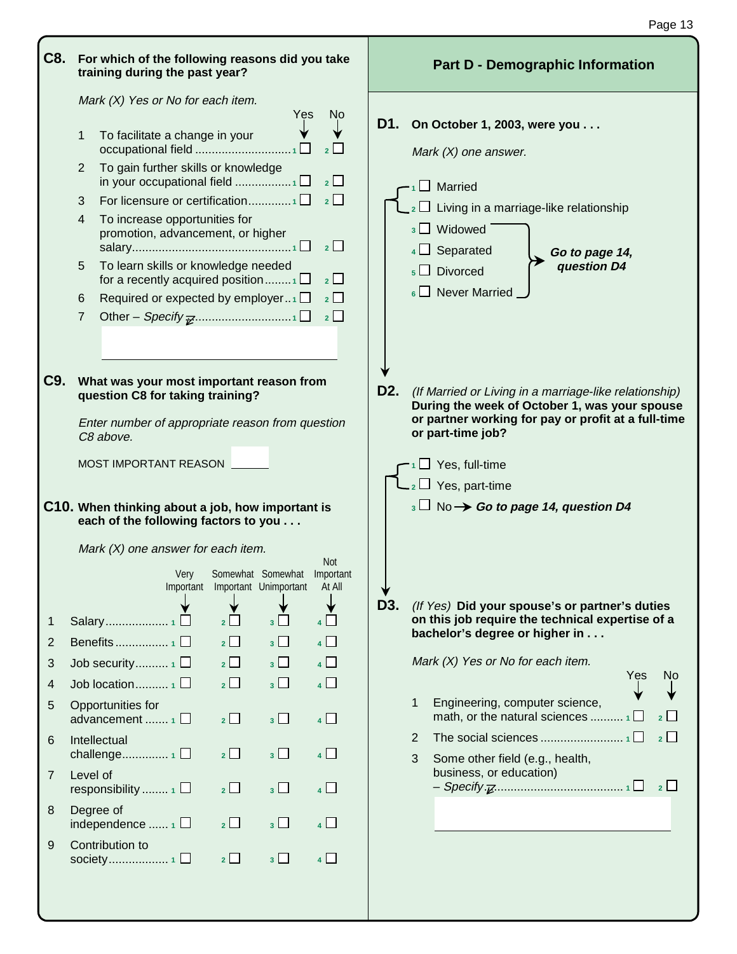| C8.              |              | For which of the following reasons did you take<br>training during the past year?                                                             |                |                                 |                | <b>Part D - Demographic Information</b>                                                                                                                                                                 |  |  |  |  |  |  |  |
|------------------|--------------|-----------------------------------------------------------------------------------------------------------------------------------------------|----------------|---------------------------------|----------------|---------------------------------------------------------------------------------------------------------------------------------------------------------------------------------------------------------|--|--|--|--|--|--|--|
|                  |              | Mark (X) Yes or No for each item.                                                                                                             |                | Yes                             | N <sub>o</sub> |                                                                                                                                                                                                         |  |  |  |  |  |  |  |
|                  | 1            | To facilitate a change in your                                                                                                                |                |                                 |                | D1.<br>On October 1, 2003, were you<br>Mark $(X)$ one answer.                                                                                                                                           |  |  |  |  |  |  |  |
|                  | 2            | To gain further skills or knowledge                                                                                                           |                |                                 | 2 <sub>2</sub> | $\Box$ Married                                                                                                                                                                                          |  |  |  |  |  |  |  |
|                  | 3            | For licensure or certification1                                                                                                               |                |                                 | 2              | $_2\Box$ Living in a marriage-like relationship                                                                                                                                                         |  |  |  |  |  |  |  |
|                  | 4            | To increase opportunities for<br>promotion, advancement, or higher                                                                            |                |                                 | $\overline{2}$ | $_3$ $\Box$ Widowed<br>$4 \Box$ Separated<br>Go to page 14,                                                                                                                                             |  |  |  |  |  |  |  |
|                  | 5            | To learn skills or knowledge needed<br>for a recently acquired position                                                                       |                |                                 | $2$ $\Box$     | question D4<br>$\overline{5}$ Divorced                                                                                                                                                                  |  |  |  |  |  |  |  |
|                  | 6            | Required or expected by employer1 $\Box$                                                                                                      |                |                                 | $2\Box$        | $_6$ Never Married                                                                                                                                                                                      |  |  |  |  |  |  |  |
|                  | 7            |                                                                                                                                               |                |                                 | $2$ $\Box$     |                                                                                                                                                                                                         |  |  |  |  |  |  |  |
|                  |              |                                                                                                                                               |                |                                 |                |                                                                                                                                                                                                         |  |  |  |  |  |  |  |
|                  |              |                                                                                                                                               |                |                                 |                |                                                                                                                                                                                                         |  |  |  |  |  |  |  |
| C <sub>9</sub> . |              | What was your most important reason from<br>question C8 for taking training?<br>Enter number of appropriate reason from question<br>C8 above. |                |                                 |                | D <sub>2</sub> .<br>(If Married or Living in a marriage-like relationship)<br>During the week of October 1, was your spouse<br>or partner working for pay or profit at a full-time<br>or part-time job? |  |  |  |  |  |  |  |
|                  |              |                                                                                                                                               |                |                                 |                |                                                                                                                                                                                                         |  |  |  |  |  |  |  |
|                  |              | MOST IMPORTANT REASON                                                                                                                         |                |                                 |                | $\Box$ Yes, full-time<br>2 □ Yes, part-time                                                                                                                                                             |  |  |  |  |  |  |  |
|                  |              | C10. When thinking about a job, how important is                                                                                              |                |                                 |                | $_3\Box$ No $\rightarrow$ Go to page 14, question D4                                                                                                                                                    |  |  |  |  |  |  |  |
|                  |              | each of the following factors to you<br>Mark $(X)$ one answer for each item.                                                                  |                |                                 |                |                                                                                                                                                                                                         |  |  |  |  |  |  |  |
|                  |              | Very                                                                                                                                          |                | Somewhat Somewhat Important     | <b>Not</b>     |                                                                                                                                                                                                         |  |  |  |  |  |  |  |
|                  |              |                                                                                                                                               |                | Important Important Unimportant | At All         | ∀                                                                                                                                                                                                       |  |  |  |  |  |  |  |
|                  |              |                                                                                                                                               |                |                                 |                | D3.<br>(If Yes) Did your spouse's or partner's duties                                                                                                                                                   |  |  |  |  |  |  |  |
| 1                |              |                                                                                                                                               | $2\Box$        | $3\Box$                         | $4\Box$        | on this job require the technical expertise of a<br>bachelor's degree or higher in                                                                                                                      |  |  |  |  |  |  |  |
| 2                |              |                                                                                                                                               | $\overline{2}$ | $3\Box$                         | $\overline{4}$ |                                                                                                                                                                                                         |  |  |  |  |  |  |  |
| 3                |              | Job security $\Box$                                                                                                                           | $\overline{2}$ | $3\Box$                         | $\overline{4}$ | Mark (X) Yes or No for each item.<br>Yes<br>No                                                                                                                                                          |  |  |  |  |  |  |  |
| 4                |              | Job location $\Box$                                                                                                                           | $\overline{2}$ | $3\Box$                         | $\overline{4}$ |                                                                                                                                                                                                         |  |  |  |  |  |  |  |
| 5                |              | Opportunities for<br>advancement  1□                                                                                                          | $\overline{2}$ | $3\Box$                         | $\overline{4}$ | Engineering, computer science,<br>1<br>$2\Box$                                                                                                                                                          |  |  |  |  |  |  |  |
| 6                | Intellectual | challenge1 $\square$                                                                                                                          | $2 \Box$       | 3 <sup>1</sup>                  | $4\Box$        | $\overline{2}$<br>2                                                                                                                                                                                     |  |  |  |  |  |  |  |
| 7                | Level of     | responsibility $\Box$                                                                                                                         | $\overline{2}$ | 3 <sup>1</sup>                  | $\overline{4}$ | 3<br>Some other field (e.g., health,<br>business, or education)                                                                                                                                         |  |  |  |  |  |  |  |
| 8                | Degree of    | independence $\Box$                                                                                                                           | $\overline{2}$ | $_3\square$                     | $\overline{4}$ |                                                                                                                                                                                                         |  |  |  |  |  |  |  |
| 9                |              | Contribution to                                                                                                                               | $2\Box$        | $3\Box$                         | $\overline{4}$ |                                                                                                                                                                                                         |  |  |  |  |  |  |  |

Page 13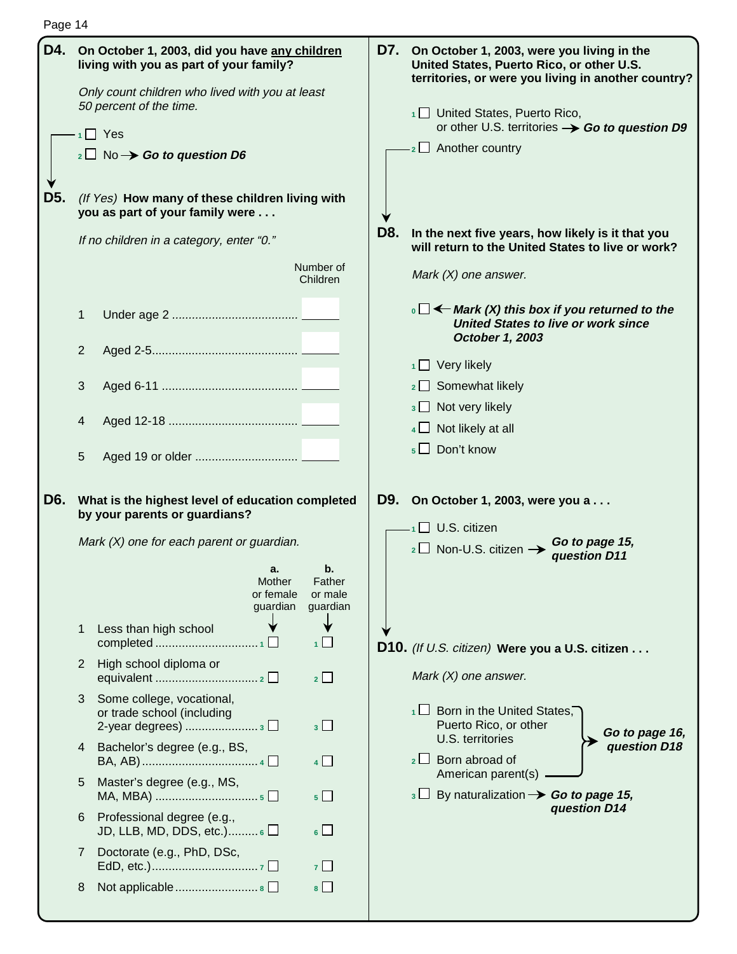| Page |  |  |
|------|--|--|
|------|--|--|

| . ugu 17 |   |                                                                                              |     |                                                                                                                                                    |
|----------|---|----------------------------------------------------------------------------------------------|-----|----------------------------------------------------------------------------------------------------------------------------------------------------|
|          |   | D4. On October 1, 2003, did you have any children<br>living with you as part of your family? |     | D7. On October 1, 2003, were you living in the<br>United States, Puerto Rico, or other U.S.<br>territories, or were you living in another country? |
|          |   | Only count children who lived with you at least                                              |     |                                                                                                                                                    |
|          |   | 50 percent of the time.<br>$\blacksquare$ Yes                                                |     | 1 United States, Puerto Rico,<br>or other U.S. territories $\rightarrow$ Go to question D9                                                         |
|          |   | $_2\Box$ No $\rightarrow$ Go to question D6                                                  |     | $-2$ Another country                                                                                                                               |
|          |   |                                                                                              |     |                                                                                                                                                    |
| D5.      |   | (If Yes) How many of these children living with<br>you as part of your family were           |     |                                                                                                                                                    |
|          |   | If no children in a category, enter "0."                                                     | D8. | In the next five years, how likely is it that you<br>will return to the United States to live or work?                                             |
|          |   | Number of<br>Children                                                                        |     | Mark $(X)$ one answer.                                                                                                                             |
|          | 1 |                                                                                              |     | $\cdot$ $\Box$ $\leftarrow$ Mark (X) this box if you returned to the<br><b>United States to live or work since</b><br>October 1, 2003              |
|          | 2 |                                                                                              |     |                                                                                                                                                    |
|          |   |                                                                                              |     | $1 \square$ Very likely                                                                                                                            |
|          | 3 |                                                                                              |     | 2 Somewhat likely                                                                                                                                  |
|          | 4 |                                                                                              |     | $3 \Box$ Not very likely                                                                                                                           |
|          |   |                                                                                              |     | Not likely at all                                                                                                                                  |
|          | 5 |                                                                                              |     | $5 \Box$ Don't know                                                                                                                                |
| D6.      |   | What is the highest level of education completed                                             | D9. | On October 1, 2003, were you a                                                                                                                     |
|          |   | by your parents or guardians?                                                                |     | $\overline{1}$ U.S. citizen                                                                                                                        |
|          |   | Mark $(X)$ one for each parent or guardian.                                                  |     | Go to page 15,<br>$_2\square$ Non-U.S. citizen $\rightarrow$<br>question D11                                                                       |
|          |   | а.<br>D.                                                                                     |     |                                                                                                                                                    |
|          |   | Mother<br>Father<br>or female<br>or male                                                     |     |                                                                                                                                                    |
|          |   | guardian<br>guardian                                                                         |     |                                                                                                                                                    |
|          | 1 | Less than high school                                                                        |     |                                                                                                                                                    |
|          |   | $\overline{1}$                                                                               |     | D10. (If U.S. citizen) Were you a U.S. citizen                                                                                                     |
|          | 2 | High school diploma or<br>2                                                                  |     | Mark $(X)$ one answer.                                                                                                                             |
|          | 3 | Some college, vocational,                                                                    |     |                                                                                                                                                    |
|          |   | or trade school (including<br>2-year degrees)  3 □<br>3 <sup>1</sup>                         |     | Born in the United States,<br>1∟.<br>Puerto Rico, or other                                                                                         |
|          | 4 | Bachelor's degree (e.g., BS,                                                                 |     | Go to page 16,<br>U.S. territories<br>question D18                                                                                                 |
|          |   | 4                                                                                            |     | $\overline{2}$ Born abroad of                                                                                                                      |
|          | 5 | Master's degree (e.g., MS,<br>$5\Box$                                                        |     | American parent(s)<br>$_3 \Box$ By naturalization $\rightarrow$ Go to page 15,                                                                     |
|          | 6 | Professional degree (e.g.,<br>JD, LLB, MD, DDS, etc.) $6 \Box$<br>$6 \Box$                   |     | question D14                                                                                                                                       |
|          | 7 | Doctorate (e.g., PhD, DSc,                                                                   |     |                                                                                                                                                    |
|          |   | $7 \mid$                                                                                     |     |                                                                                                                                                    |
|          | 8 | Not applicable  8<br>$8\Box$                                                                 |     |                                                                                                                                                    |
|          |   |                                                                                              |     |                                                                                                                                                    |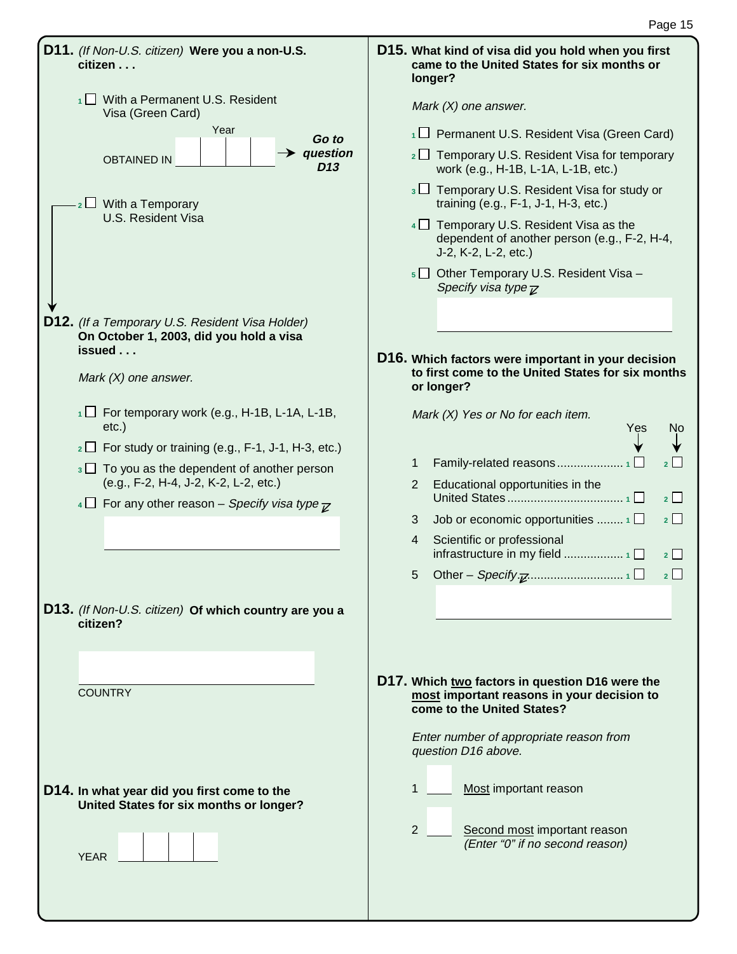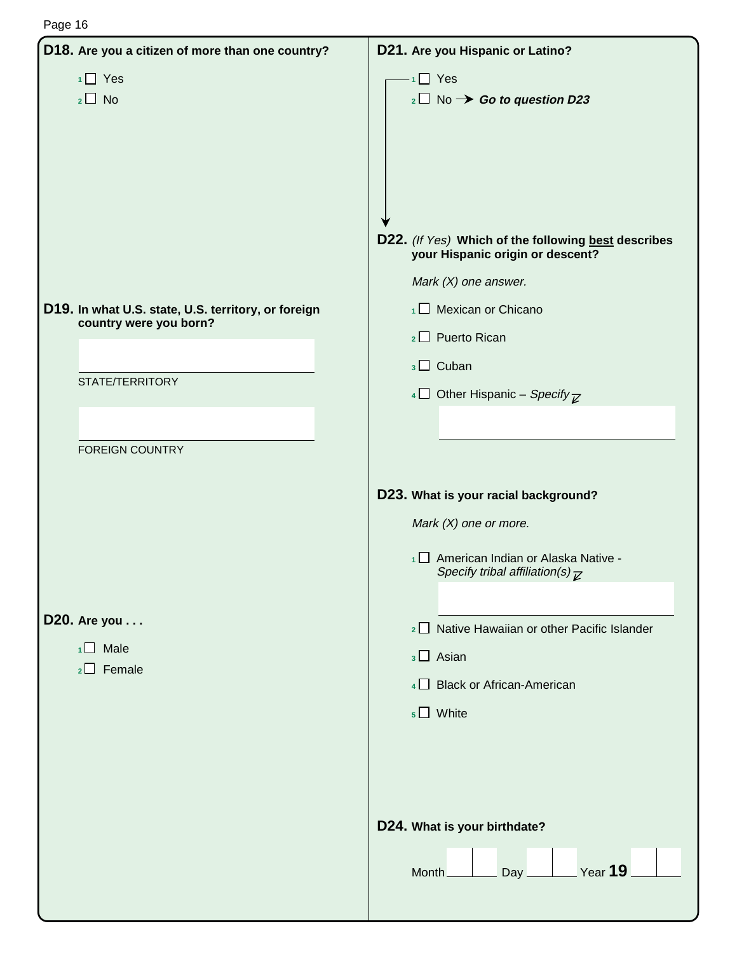| D18. Are you a citizen of more than one country?                                                 | D21. Are you Hispanic or Latino?                                                                                                                                                                                                                                                                                                            |
|--------------------------------------------------------------------------------------------------|---------------------------------------------------------------------------------------------------------------------------------------------------------------------------------------------------------------------------------------------------------------------------------------------------------------------------------------------|
| $1 \square$ Yes<br>$_2\square$ No                                                                | $\cdot$ <sub>1</sub> Yes<br>$_2\square$ No $\rightarrow$ Go to question D23<br>D22. (If Yes) Which of the following best describes<br>your Hispanic origin or descent?                                                                                                                                                                      |
| D19. In what U.S. state, U.S. territory, or foreign<br>country were you born?<br>STATE/TERRITORY | Mark $(X)$ one answer.<br>$\overline{1}$ Mexican or Chicano<br>2 D Puerto Rican<br>$_3\Box$ Cuban<br>4 Other Hispanic – Specify $\overline{z}$                                                                                                                                                                                              |
| <b>FOREIGN COUNTRY</b><br>D20. Are you<br>$1 \square$ Male<br>$2 \Box$ Female                    | D23. What is your racial background?<br>Mark $(X)$ one or more.<br>1 American Indian or Alaska Native -<br>Specify tribal affiliation(s) $\overline{\mathcal{L}}$<br>2 Native Hawaiian or other Pacific Islander<br>$_3\Box$ Asian<br>4 Black or African-American<br>$5 \square$ White<br>D24. What is your birthdate?<br>Year 19<br>Month_ |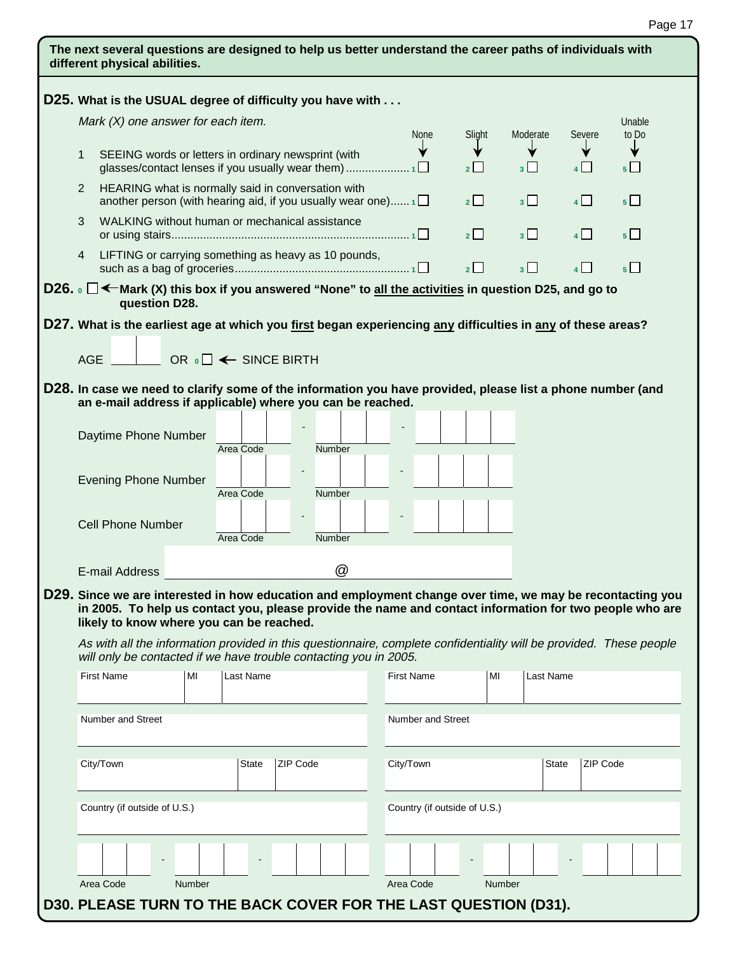|            | D25. What is the USUAL degree of difficulty you have with                                                                                                                                                                                                        |    |                                        |                 |               |           |                   |                   |                              |                     |                  |                   |                         |
|------------|------------------------------------------------------------------------------------------------------------------------------------------------------------------------------------------------------------------------------------------------------------------|----|----------------------------------------|-----------------|---------------|-----------|-------------------|-------------------|------------------------------|---------------------|------------------|-------------------|-------------------------|
|            | Mark $(X)$ one answer for each item.                                                                                                                                                                                                                             |    |                                        |                 |               |           |                   |                   | Unable                       |                     |                  |                   |                         |
| 1          | SEEING words or letters in ordinary newsprint (with                                                                                                                                                                                                              |    |                                        |                 |               |           | <b>None</b>       |                   | Slight<br>$2\Box$            | Moderate<br>$3\Box$ |                  | Severe<br>$4\Box$ | to Do<br>5 <sub>1</sub> |
| 2          | HEARING what is normally said in conversation with<br>another person (with hearing aid, if you usually wear one) $1\Box$                                                                                                                                         |    |                                        |                 |               |           |                   |                   | $2^{\square}$                | 3 <sup>1</sup>      |                  | 4                 | 5 <sup>1</sup>          |
| 3          | WALKING without human or mechanical assistance                                                                                                                                                                                                                   |    |                                        |                 |               |           |                   |                   | 2                            | 3 <sup>1</sup>      |                  | $4\Box$           | $5\Box$                 |
| 4          | LIFTING or carrying something as heavy as 10 pounds,                                                                                                                                                                                                             |    |                                        |                 |               |           |                   |                   | 2                            | $3\Box$             |                  | 4                 | $5\Box$                 |
|            | D26. $\circ$ $\Box$ $\leftarrow$ Mark (X) this box if you answered "None" to all the activities in question D25, and go to<br>question D28.                                                                                                                      |    |                                        |                 |               |           |                   |                   |                              |                     |                  |                   |                         |
|            | D27. What is the earliest age at which you first began experiencing <u>any</u> difficulties in <u>any</u> of these areas?                                                                                                                                        |    |                                        |                 |               |           |                   |                   |                              |                     |                  |                   |                         |
|            |                                                                                                                                                                                                                                                                  |    |                                        |                 |               |           |                   |                   |                              |                     |                  |                   |                         |
| <b>AGE</b> |                                                                                                                                                                                                                                                                  |    | OR $\circ \Box \leftarrow$ SINCE BIRTH |                 |               |           |                   |                   |                              |                     |                  |                   |                         |
|            | D28. In case we need to clarify some of the information you have provided, please list a phone number (and                                                                                                                                                       |    |                                        |                 |               |           |                   |                   |                              |                     |                  |                   |                         |
|            | an e-mail address if applicable) where you can be reached.                                                                                                                                                                                                       |    |                                        |                 |               |           |                   |                   |                              |                     |                  |                   |                         |
|            | Daytime Phone Number                                                                                                                                                                                                                                             |    |                                        |                 |               |           |                   |                   |                              |                     |                  |                   |                         |
|            |                                                                                                                                                                                                                                                                  |    | Area Code                              |                 | <b>Number</b> |           |                   |                   |                              |                     |                  |                   |                         |
|            | <b>Evening Phone Number</b>                                                                                                                                                                                                                                      |    |                                        |                 |               |           |                   |                   |                              |                     |                  |                   |                         |
|            |                                                                                                                                                                                                                                                                  |    | Area Code                              |                 | Number        |           |                   |                   |                              |                     |                  |                   |                         |
|            | <b>Cell Phone Number</b>                                                                                                                                                                                                                                         |    |                                        |                 |               |           |                   |                   |                              |                     |                  |                   |                         |
|            |                                                                                                                                                                                                                                                                  |    | Area Code                              |                 | <b>Number</b> |           |                   |                   |                              |                     |                  |                   |                         |
|            |                                                                                                                                                                                                                                                                  |    |                                        |                 | @             |           |                   |                   |                              |                     |                  |                   |                         |
|            | E-mail Address                                                                                                                                                                                                                                                   |    |                                        |                 |               |           |                   |                   |                              |                     |                  |                   |                         |
|            | D29. Since we are interested in how education and employment change over time, we may be recontacting you<br>in 2005. To help us contact you, please provide the name and contact information for two people who are<br>likely to know where you can be reached. |    |                                        |                 |               |           |                   |                   |                              |                     |                  |                   |                         |
|            | As with all the information provided in this questionnaire, complete confidentiality will be provided. These people<br>will only be contacted if we have trouble contacting you in 2005.                                                                         |    |                                        |                 |               |           |                   |                   |                              |                     |                  |                   |                         |
|            |                                                                                                                                                                                                                                                                  |    |                                        |                 |               |           | <b>First Name</b> |                   | MI                           |                     | <b>Last Name</b> |                   |                         |
|            | <b>First Name</b>                                                                                                                                                                                                                                                | MI | Last Name                              |                 |               |           |                   |                   |                              |                     |                  |                   |                         |
|            | <b>Number and Street</b>                                                                                                                                                                                                                                         |    |                                        |                 |               |           |                   | Number and Street |                              |                     |                  |                   |                         |
|            | City/Town                                                                                                                                                                                                                                                        |    | State                                  | <b>ZIP Code</b> |               | City/Town |                   |                   |                              |                     | State            | ZIP Code          |                         |
|            | Country (if outside of U.S.)                                                                                                                                                                                                                                     |    |                                        |                 |               |           |                   |                   | Country (if outside of U.S.) |                     |                  |                   |                         |
|            |                                                                                                                                                                                                                                                                  |    |                                        |                 |               |           |                   |                   |                              |                     |                  |                   |                         |
|            |                                                                                                                                                                                                                                                                  |    |                                        |                 |               |           |                   |                   |                              |                     |                  |                   |                         |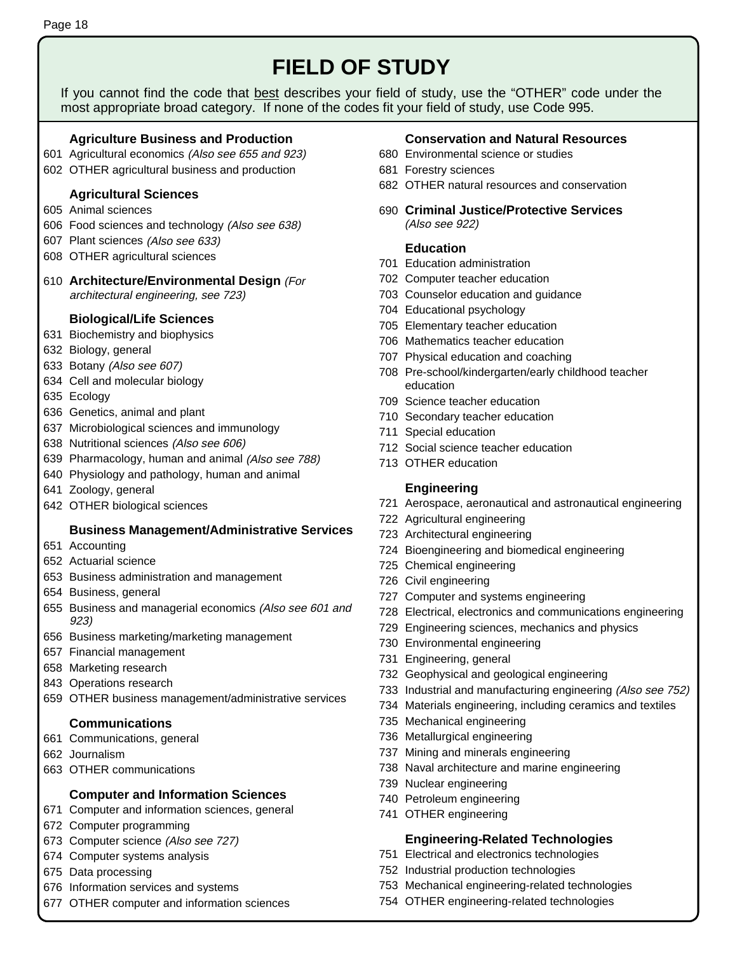# **FIELD OF STUDY**

If you cannot find the code that best describes your field of study, use the "OTHER" code under the most appropriate broad category. If none of the codes fit your field of study, use Code 995.

# **Agriculture Business and Production**

- 601 Agricultural economics (Also see 655 and 923)
- 602 OTHER agricultural business and production

# **Agricultural Sciences**

- 605 Animal sciences
- 606 Food sciences and technology (Also see 638)
- 607 Plant sciences (Also see 633)
- 608 OTHER agricultural sciences
- 610 **Architecture/Environmental Design** (For architectural engineering, see 723)

# **Biological/Life Sciences**

- 631 Biochemistry and biophysics
- 632 Biology, general
- 633 Botany (Also see 607)
- 634 Cell and molecular biology
- 635 Ecology
- 636 Genetics, animal and plant
- 637 Microbiological sciences and immunology
- 638 Nutritional sciences (Also see 606)
- 639 Pharmacology, human and animal (Also see 788)
- 640 Physiology and pathology, human and animal
- 641 Zoology, general
- 642 OTHER biological sciences

# **Business Management/Administrative Services**

- 651 Accounting
- 652 Actuarial science
- 653 Business administration and management
- 654 Business, general
- 655 Business and managerial economics (Also see 601 and 923)
- 656 Business marketing/marketing management
- 657 Financial management
- 658 Marketing research
- 843 Operations research
- 659 OTHER business management/administrative services

# **Communications**

- 661 Communications, general
- 662 Journalism
- 663 OTHER communications

# **Computer and Information Sciences**

- 671 Computer and information sciences, general
- 672 Computer programming
- 673 Computer science (Also see 727)
- 674 Computer systems analysis
- 675 Data processing
- 676 Information services and systems
- 677 OTHER computer and information sciences

# **Conservation and Natural Resources**

- 680 Environmental science or studies
- 681 Forestry sciences
- 682 OTHER natural resources and conservation
- 690 **Criminal Justice/Protective Services** (Also see 922)

# **Education**

- 701 Education administration
- 702 Computer teacher education
- 703 Counselor education and guidance
- 704 Educational psychology
- 705 Elementary teacher education
- 706 Mathematics teacher education
- 707 Physical education and coaching
- 708 Pre-school/kindergarten/early childhood teacher education
- 709 Science teacher education
- 710 Secondary teacher education
- 711 Special education
- 712 Social science teacher education
- 713 OTHER education

# **Engineering**

- 721 Aerospace, aeronautical and astronautical engineering
- 722 Agricultural engineering
- 723 Architectural engineering
- 724 Bioengineering and biomedical engineering
- 725 Chemical engineering
- 726 Civil engineering
- 727 Computer and systems engineering
- 728 Electrical, electronics and communications engineering
- 729 Engineering sciences, mechanics and physics
- 730 Environmental engineering
- 731 Engineering, general
- 732 Geophysical and geological engineering
- 733 Industrial and manufacturing engineering (Also see 752)
- 734 Materials engineering, including ceramics and textiles
- 735 Mechanical engineering
- 736 Metallurgical engineering
- 737 Mining and minerals engineering
- 738 Naval architecture and marine engineering
- 739 Nuclear engineering
- 740 Petroleum engineering
- 741 OTHER engineering

# **Engineering-Related Technologies**

- 751 Electrical and electronics technologies
- 752 Industrial production technologies
- 753 Mechanical engineering-related technologies
- 754 OTHER engineering-related technologies

Page 18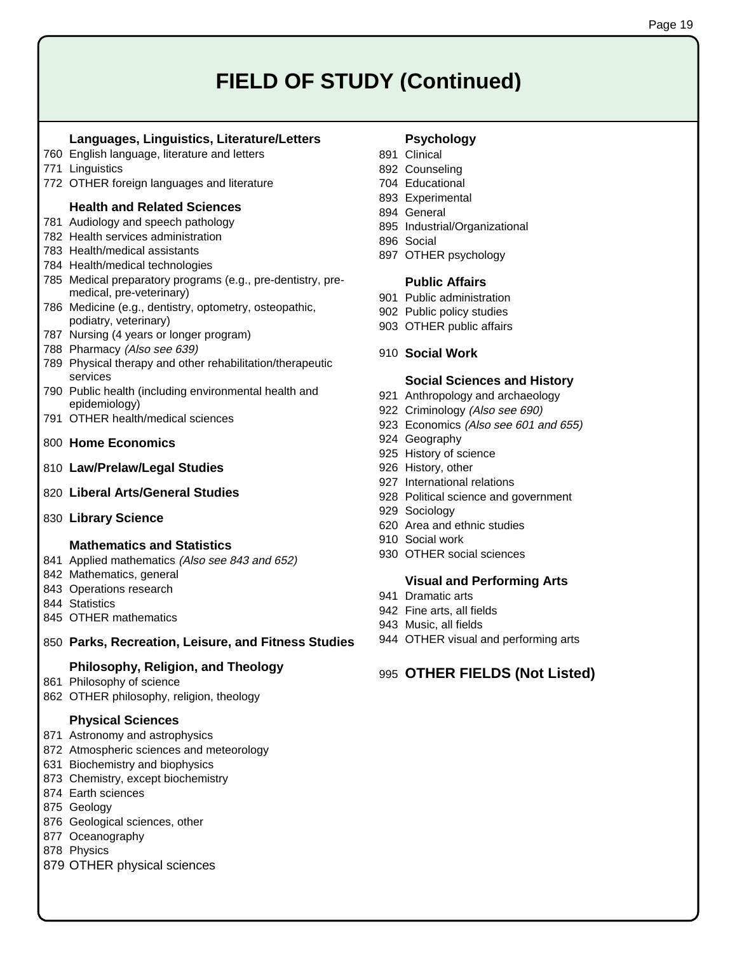# **FIELD OF STUDY (Continued)**

#### **Languages, Linguistics, Literature/Letters**

- 760 English language, literature and letters
- 771 Linguistics
- 772 OTHER foreign languages and literature

#### **Health and Related Sciences**

- 781 Audiology and speech pathology
- 782 Health services administration
- 783 Health/medical assistants
- 784 Health/medical technologies
- 785 Medical preparatory programs (e.g., pre-dentistry, premedical, pre-veterinary)
- 786 Medicine (e.g., dentistry, optometry, osteopathic, podiatry, veterinary)
- 787 Nursing (4 years or longer program)
- 788 Pharmacy (Also see 639)
- 789 Physical therapy and other rehabilitation/therapeutic services
- 790 Public health (including environmental health and epidemiology)
- 791 OTHER health/medical sciences
- 800 **Home Economics**
- 810 **Law/Prelaw/Legal Studies**
- 820 **Liberal Arts/General Studies**
- 830 **Library Science**

#### **Mathematics and Statistics**

- 841 Applied mathematics (Also see 843 and 652)
- 842 Mathematics, general
- 843 Operations research
- 844 Statistics
- 845 OTHER mathematics
- 850 **Parks, Recreation, Leisure, and Fitness Studies**

#### **Philosophy, Religion, and Theology**

- 861 Philosophy of science
- 862 OTHER philosophy, religion, theology

#### **Physical Sciences**

- 871 Astronomy and astrophysics
- 872 Atmospheric sciences and meteorology
- 631 Biochemistry and biophysics
- 873 Chemistry, except biochemistry
- 874 Earth sciences
- 875 Geology
- 876 Geological sciences, other
- 877 Oceanography
- 878 Physics
- 879 OTHER physical sciences

#### **Psychology**

- 891 Clinical
- 892 Counseling
- 704 Educational
- 893 Experimental
- 894 General
- 895 Industrial/Organizational
- 896 Social
- 897 OTHER psychology

#### **Public Affairs**

- 901 Public administration
- 902 Public policy studies
- 903 OTHER public affairs
- 910 **Social Work**

#### **Social Sciences and History**

- 921 Anthropology and archaeology
- 922 Criminology (Also see 690)
- 923 Economics (Also see 601 and 655)
- 924 Geography
- 925 History of science
- 926 History, other
- 927 International relations
- 928 Political science and government
- 929 Sociology
- 620 Area and ethnic studies
- 910 Social work
- 930 OTHER social sciences

#### **Visual and Performing Arts**

- 941 Dramatic arts
- 942 Fine arts, all fields
- 943 Music, all fields
- 944 OTHER visual and performing arts

### 995 **OTHER FIELDS (Not Listed)**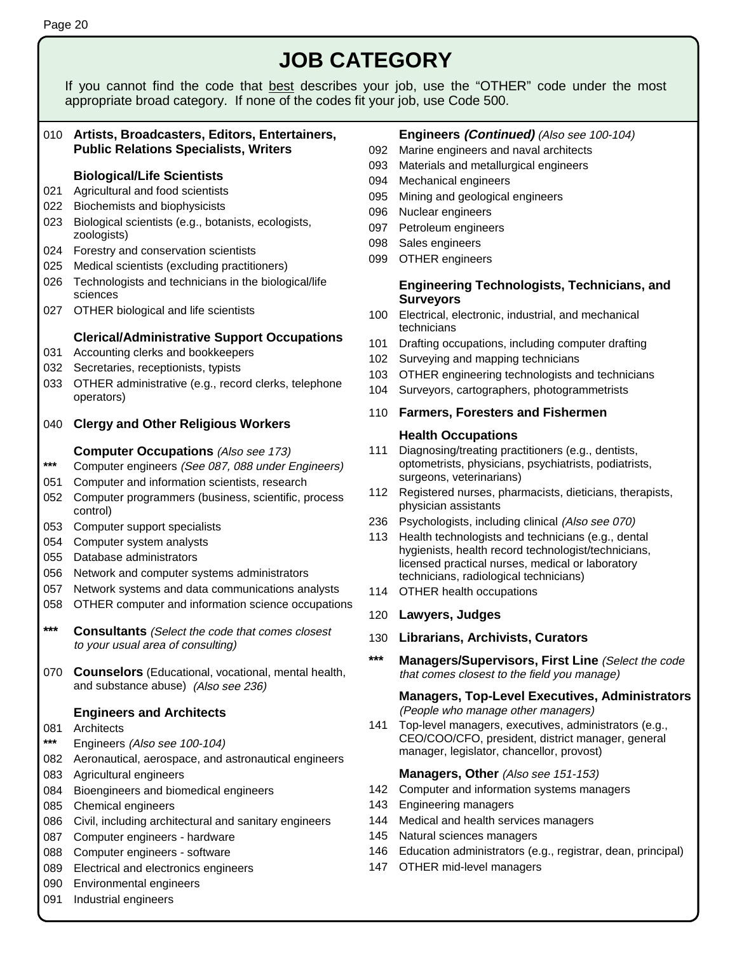#### 010 **Artists, Broadcasters, Editors, Entertainers, Public Relations Specialists, Writers Biological/Life Scientists**  021 Agricultural and food scientists 022 Biochemists and biophysicists 023 Biological scientists (e.g., botanists, ecologists, zoologists) 024 Forestry and conservation scientists 025 Medical scientists (excluding practitioners) 026 Technologists and technicians in the biological/life sciences 027 OTHER biological and life scientists **Clerical/Administrative Support Occupations**  031 Accounting clerks and bookkeepers 032 Secretaries, receptionists, typists 033 OTHER administrative (e.g., record clerks, telephone operators) 040 **Clergy and Other Religious Workers Computer Occupations** (Also see 173) **\*\*\*** Computer engineers (See 087, 088 under Engineers) 051 Computer and information scientists, research 052 Computer programmers (business, scientific, process control) 053 Computer support specialists 054 Computer system analysts 055 Database administrators 056 Network and computer systems administrators 057 Network systems and data communications analysts 058 OTHER computer and information science occupations **\*\*\* Consultants** (Select the code that comes closest to your usual area of consulting) 070 **Counselors** (Educational, vocational, mental health, and substance abuse) (Also see 236) **Engineers and Architects**  081 Architects **\*\*\*** Engineers (Also see 100-104) 082 Aeronautical, aerospace, and astronautical engineers 083 Agricultural engineers 084 Bioengineers and biomedical engineers 085 Chemical engineers 086 Civil, including architectural and sanitary engineers 087 Computer engineers - hardware 088 Computer engineers - software 089 Electrical and electronics engineers 090 Environmental engineers 091 Industrial engineers **Engineers (Continued)** (Also see 100-104) 092 Marine engineers and naval architects 093 Materials and metallurgical engineers 094 Mechanical engineers 095 Mining and geological engineers 096 Nuclear engineers 097 Petroleum engineers 098 Sales engineers 099 OTHER engineers  **Engineering Technologists, Technicians, and Surveyors** 100 Electrical, electronic, industrial, and mechanical technicians 101 Drafting occupations, including computer drafting 102 Surveying and mapping technicians 103 OTHER engineering technologists and technicians 104 Surveyors, cartographers, photogrammetrists 110 **Farmers, Foresters and Fishermen Health Occupations** 111 Diagnosing/treating practitioners (e.g., dentists, optometrists, physicians, psychiatrists, podiatrists, surgeons, veterinarians) 112 Registered nurses, pharmacists, dieticians, therapists, physician assistants 236 Psychologists, including clinical (Also see 070) 113 Health technologists and technicians (e.g., dental hygienists, health record technologist/technicians, licensed practical nurses, medical or laboratory technicians, radiological technicians) 114 OTHER health occupations 120 **Lawyers, Judges** 130 **Librarians, Archivists, Curators \*\*\* Managers/Supervisors, First Line** (Select the code that comes closest to the field you manage)  **Managers, Top-Level Executives, Administrators** (People who manage other managers) 141 Top-level managers, executives, administrators (e.g., CEO/COO/CFO, president, district manager, general manager, legislator, chancellor, provost) **Managers, Other** (Also see 151-153) 142 Computer and information systems managers 143 Engineering managers 144 Medical and health services managers 145 Natural sciences managers 146 Education administrators (e.g., registrar, dean, principal) 147 OTHER mid-level managers **JOB CATEGORY**  If you cannot find the code that best describes your job, use the "OTHER" code under the most appropriate broad category. If none of the codes fit your job, use Code 500.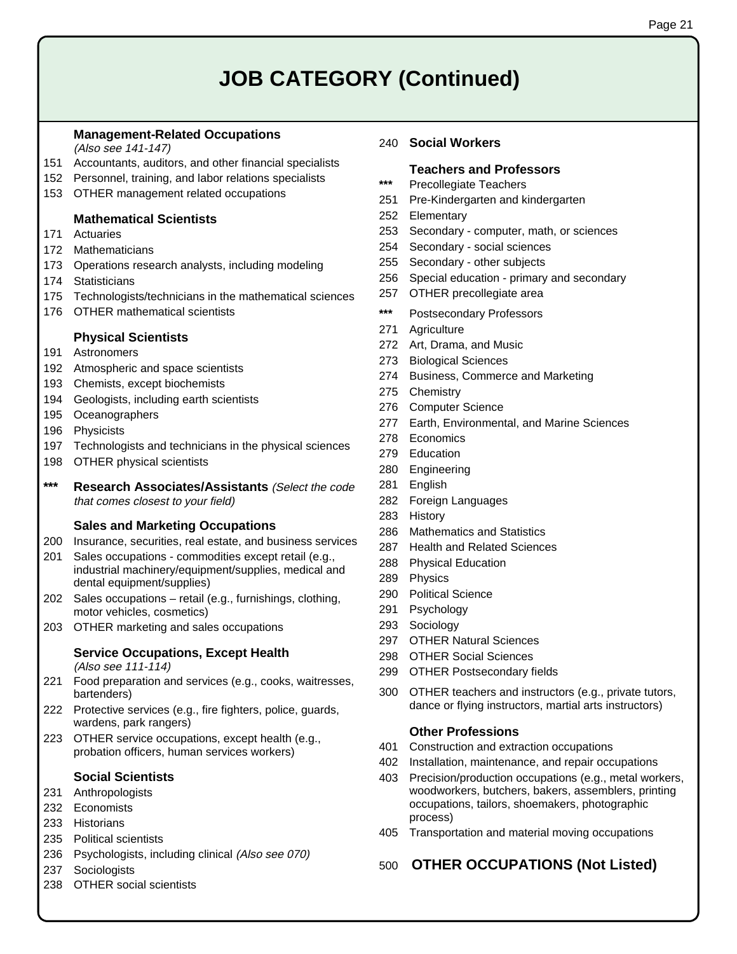# **JOB CATEGORY (Continued)**

#### **Management-Related Occupations**

(Also see 141-147)

- 151 Accountants, auditors, and other financial specialists
- 152 Personnel, training, and labor relations specialists
- 153 OTHER management related occupations

#### **Mathematical Scientists**

- 171 Actuaries
- 172 Mathematicians
- 173 Operations research analysts, including modeling
- 174 Statisticians
- 175 Technologists/technicians in the mathematical sciences
- 176 OTHER mathematical scientists

#### **Physical Scientists**

- 191 Astronomers
- 192 Atmospheric and space scientists
- 193 Chemists, except biochemists
- 194 Geologists, including earth scientists
- 195 Oceanographers
- 196 Physicists
- 197 Technologists and technicians in the physical sciences
- 198 OTHER physical scientists
- **\*\*\* Research Associates/Assistants** (Select the code that comes closest to your field)

#### **Sales and Marketing Occupations**

- 200 Insurance, securities, real estate, and business services
- 201 Sales occupations commodities except retail (e.g., industrial machinery/equipment/supplies, medical and dental equipment/supplies)
- 202 Sales occupations retail (e.g., furnishings, clothing, motor vehicles, cosmetics)
- 203 OTHER marketing and sales occupations

### **Service Occupations, Except Health**

(Also see 111-114)

- 221 Food preparation and services (e.g., cooks, waitresses, bartenders)
- 222 Protective services (e.g., fire fighters, police, guards, wardens, park rangers)
- 223 OTHER service occupations, except health (e.g., probation officers, human services workers)

#### **Social Scientists**

- 231 Anthropologists
- 232 Economists
- 233 Historians
- 235 Political scientists
- 236 Psychologists, including clinical (Also see 070)
- 237 Sociologists
- 238 OTHER social scientists

#### 240 **Social Workers**

#### **Teachers and Professors**

- **\*\*\*** Precollegiate Teachers
- 251 Pre-Kindergarten and kindergarten
- 252 Elementary
- 253 Secondary computer, math, or sciences
- 254 Secondary social sciences
- 255 Secondary other subjects
- 256 Special education primary and secondary
- 257 OTHER precollegiate area
- **\*\*\*** Postsecondary Professors
- 271 Agriculture
- 272 Art, Drama, and Music
- 273 Biological Sciences
- 274 Business, Commerce and Marketing
- 275 Chemistry
- 276 Computer Science
- 277 Earth, Environmental, and Marine Sciences
- 278 Economics
- 279 Education
- 280 Engineering
- 281 English
- 282 Foreign Languages
- 283 History
- 286 Mathematics and Statistics
- 287 Health and Related Sciences
- 288 Physical Education
- 289 Physics
- 290 Political Science
- 291 Psychology
- 293 Sociology
- 297 OTHER Natural Sciences
- 298 OTHER Social Sciences
- 299 OTHER Postsecondary fields
- 300 OTHER teachers and instructors (e.g., private tutors, dance or flying instructors, martial arts instructors)

#### **Other Professions**

- 401 Construction and extraction occupations
- 402 Installation, maintenance, and repair occupations
- 403 Precision/production occupations (e.g., metal workers, woodworkers, butchers, bakers, assemblers, printing occupations, tailors, shoemakers, photographic process)
- 405 Transportation and material moving occupations

### 500 **OTHER OCCUPATIONS (Not Listed)**